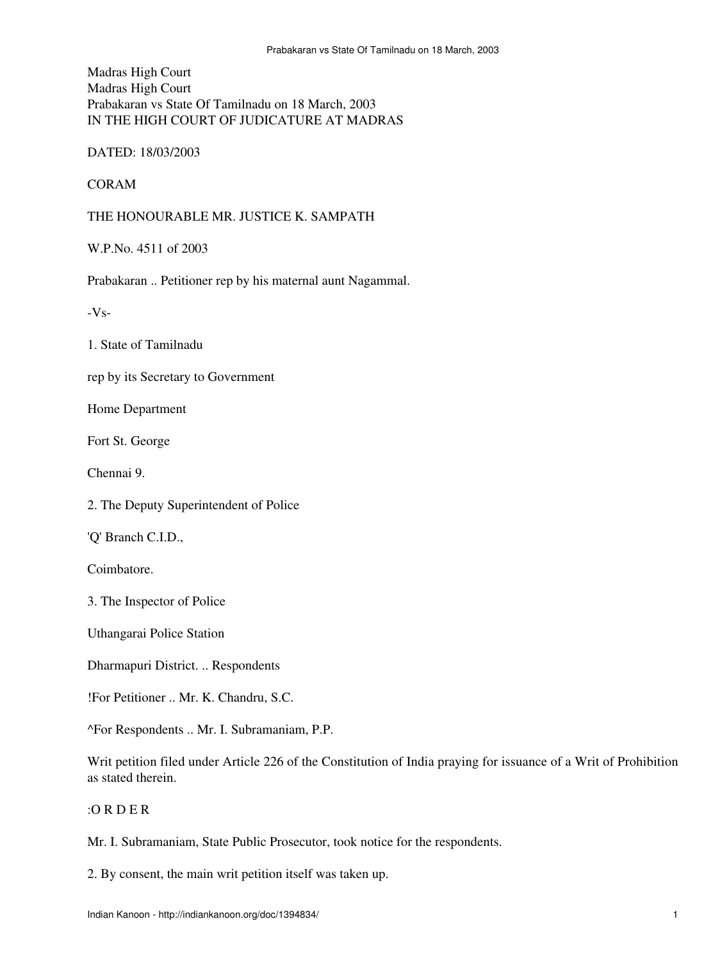Madras High Court Madras High Court Prabakaran vs State Of Tamilnadu on 18 March, 2003 IN THE HIGH COURT OF JUDICATURE AT MADRAS

DATED: 18/03/2003

CORAM

THE HONOURABLE MR. JUSTICE K. SAMPATH

W.P.No. 4511 of 2003

Prabakaran .. Petitioner rep by his maternal aunt Nagammal.

-Vs-

1. State of Tamilnadu

rep by its Secretary to Government

Home Department

Fort St. George

Chennai 9.

2. The Deputy Superintendent of Police

'Q' Branch C.I.D.,

Coimbatore.

3. The Inspector of Police

Uthangarai Police Station

Dharmapuri District. .. Respondents

!For Petitioner .. Mr. K. Chandru, S.C.

^For Respondents .. Mr. I. Subramaniam, P.P.

Writ petition filed under Article 226 of the Constitution of India praying for issuance of a Writ of Prohibition as stated therein.

## :O R D E R

Mr. I. Subramaniam, State Public Prosecutor, took notice for the respondents.

2. By consent, the main writ petition itself was taken up.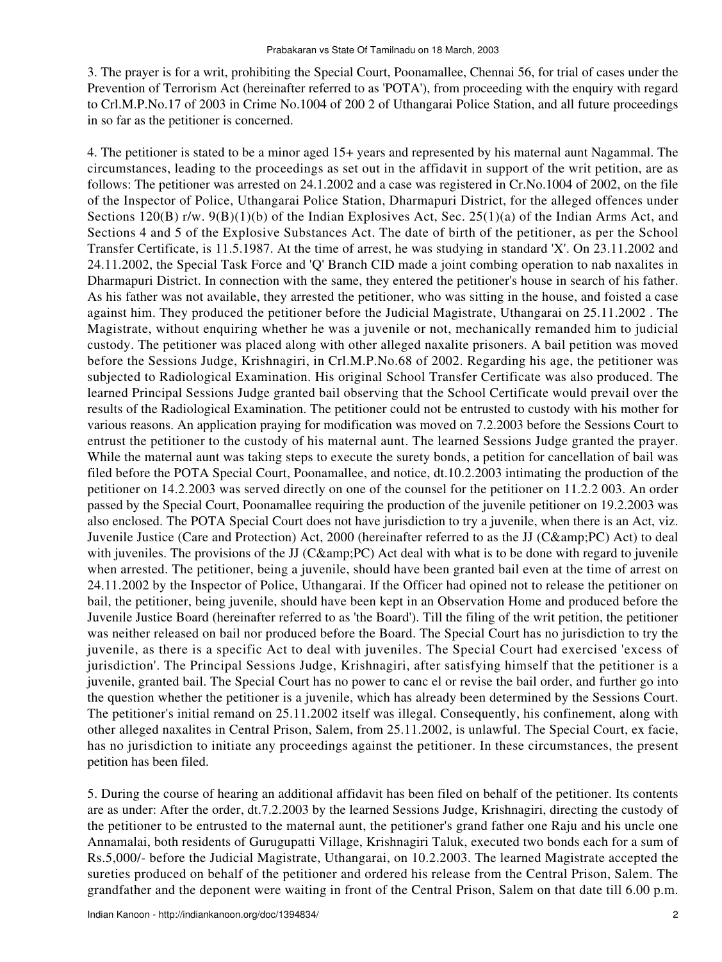3. The prayer is for a writ, prohibiting the Special Court, Poonamallee, Chennai 56, for trial of cases under the Prevention of Terrorism Act (hereinafter referred to as 'POTA'), from proceeding with the enquiry with regard to Crl.M.P.No.17 of 2003 in Crime No.1004 of 200 2 of Uthangarai Police Station, and all future proceedings in so far as the petitioner is concerned.

4. The petitioner is stated to be a minor aged 15+ years and represented by his maternal aunt Nagammal. The circumstances, leading to the proceedings as set out in the affidavit in support of the writ petition, are as follows: The petitioner was arrested on 24.1.2002 and a case was registered in Cr.No.1004 of 2002, on the file of the Inspector of Police, Uthangarai Police Station, Dharmapuri District, for the alleged offences under Sections 120(B) r/w. 9(B)(1)(b) of the Indian Explosives Act, Sec. 25(1)(a) of the Indian Arms Act, and Sections 4 and 5 of the Explosive Substances Act. The date of birth of the petitioner, as per the School Transfer Certificate, is 11.5.1987. At the time of arrest, he was studying in standard 'X'. On 23.11.2002 and 24.11.2002, the Special Task Force and 'Q' Branch CID made a joint combing operation to nab naxalites in Dharmapuri District. In connection with the same, they entered the petitioner's house in search of his father. As his father was not available, they arrested the petitioner, who was sitting in the house, and foisted a case against him. They produced the petitioner before the Judicial Magistrate, Uthangarai on 25.11.2002 . The Magistrate, without enquiring whether he was a juvenile or not, mechanically remanded him to judicial custody. The petitioner was placed along with other alleged naxalite prisoners. A bail petition was moved before the Sessions Judge, Krishnagiri, in Crl.M.P.No.68 of 2002. Regarding his age, the petitioner was subjected to Radiological Examination. His original School Transfer Certificate was also produced. The learned Principal Sessions Judge granted bail observing that the School Certificate would prevail over the results of the Radiological Examination. The petitioner could not be entrusted to custody with his mother for various reasons. An application praying for modification was moved on 7.2.2003 before the Sessions Court to entrust the petitioner to the custody of his maternal aunt. The learned Sessions Judge granted the prayer. While the maternal aunt was taking steps to execute the surety bonds, a petition for cancellation of bail was filed before the POTA Special Court, Poonamallee, and notice, dt.10.2.2003 intimating the production of the petitioner on 14.2.2003 was served directly on one of the counsel for the petitioner on 11.2.2 003. An order passed by the Special Court, Poonamallee requiring the production of the juvenile petitioner on 19.2.2003 was also enclosed. The POTA Special Court does not have jurisdiction to try a juvenile, when there is an Act, viz. Juvenile Justice (Care and Protection) Act, 2000 (hereinafter referred to as the JJ (C&PC) Act) to deal with juveniles. The provisions of the JJ ( $C\&P\&$ ) Act deal with what is to be done with regard to juvenile when arrested. The petitioner, being a juvenile, should have been granted bail even at the time of arrest on 24.11.2002 by the Inspector of Police, Uthangarai. If the Officer had opined not to release the petitioner on bail, the petitioner, being juvenile, should have been kept in an Observation Home and produced before the Juvenile Justice Board (hereinafter referred to as 'the Board'). Till the filing of the writ petition, the petitioner was neither released on bail nor produced before the Board. The Special Court has no jurisdiction to try the juvenile, as there is a specific Act to deal with juveniles. The Special Court had exercised 'excess of jurisdiction'. The Principal Sessions Judge, Krishnagiri, after satisfying himself that the petitioner is a juvenile, granted bail. The Special Court has no power to canc el or revise the bail order, and further go into the question whether the petitioner is a juvenile, which has already been determined by the Sessions Court. The petitioner's initial remand on 25.11.2002 itself was illegal. Consequently, his confinement, along with other alleged naxalites in Central Prison, Salem, from 25.11.2002, is unlawful. The Special Court, ex facie, has no jurisdiction to initiate any proceedings against the petitioner. In these circumstances, the present petition has been filed.

5. During the course of hearing an additional affidavit has been filed on behalf of the petitioner. Its contents are as under: After the order, dt.7.2.2003 by the learned Sessions Judge, Krishnagiri, directing the custody of the petitioner to be entrusted to the maternal aunt, the petitioner's grand father one Raju and his uncle one Annamalai, both residents of Gurugupatti Village, Krishnagiri Taluk, executed two bonds each for a sum of Rs.5,000/- before the Judicial Magistrate, Uthangarai, on 10.2.2003. The learned Magistrate accepted the sureties produced on behalf of the petitioner and ordered his release from the Central Prison, Salem. The grandfather and the deponent were waiting in front of the Central Prison, Salem on that date till 6.00 p.m.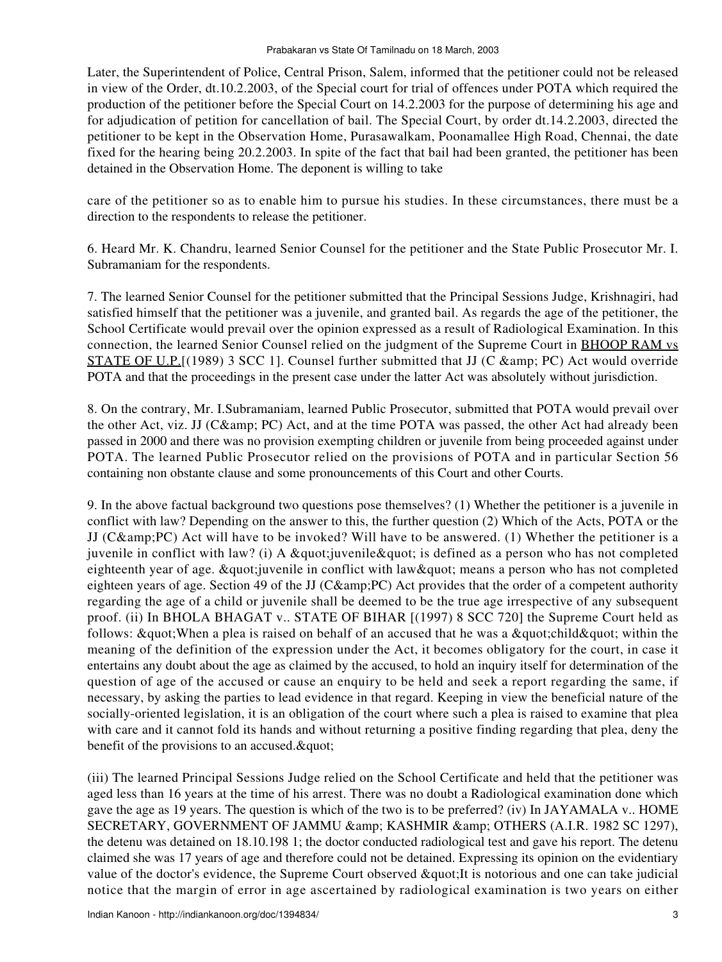Later, the Superintendent of Police, Central Prison, Salem, informed that the petitioner could not be released in view of the Order, dt.10.2.2003, of the Special court for trial of offences under POTA which required the production of the petitioner before the Special Court on 14.2.2003 for the purpose of determining his age and for adjudication of petition for cancellation of bail. The Special Court, by order dt.14.2.2003, directed the petitioner to be kept in the Observation Home, Purasawalkam, Poonamallee High Road, Chennai, the date fixed for the hearing being 20.2.2003. In spite of the fact that bail had been granted, the petitioner has been detained in the Observation Home. The deponent is willing to take

care of the petitioner so as to enable him to pursue his studies. In these circumstances, there must be a direction to the respondents to release the petitioner.

6. Heard Mr. K. Chandru, learned Senior Counsel for the petitioner and the State Public Prosecutor Mr. I. Subramaniam for the respondents.

7. The learned Senior Counsel for the petitioner submitted that the Principal Sessions Judge, Krishnagiri, had satisfied himself that the petitioner was a juvenile, and granted bail. As regards the age of the petitioner, the School Certificate would prevail over the opinion expressed as a result of Radiological Examination. In this connection, the learned Senior Counsel relied on the judgment of the Supreme Court in **BHOOP RAM** vs STATE OF U.P. [(1989) 3 SCC 1]. Counsel further submitted that JJ (C & amp; PC) Act would override POTA and that the proceedings in the present case under the latter Act was absolutely without jurisdiction.

8. On the contrary, Mr. I.Subramaniam, learned Public Prosecutor, submitted that POTA would prevail over the other Act, viz. JJ (C& PC) Act, and at the time POTA was passed, the other Act had already been passed in 2000 and there was no provision exempting children or juvenile from being proceeded against under POTA. The learned Public Prosecutor relied on the provisions of POTA and in particular Section 56 containing non obstante clause and some pronouncements of this Court and other Courts.

9. In the above factual background two questions pose themselves? (1) Whether the petitioner is a juvenile in conflict with law? Depending on the answer to this, the further question (2) Which of the Acts, POTA or the JJ ( $C\&P\&C)$  Act will have to be invoked? Will have to be answered. (1) Whether the petitioner is a juvenile in conflict with law? (i) A  $\&$ quot; juvenile $\&$ quot; is defined as a person who has not completed eighteenth year of age.  $\&$ quot; juvenile in conflict with law $\&$ quot; means a person who has not completed eighteen years of age. Section 49 of the JJ (C&PC) Act provides that the order of a competent authority regarding the age of a child or juvenile shall be deemed to be the true age irrespective of any subsequent proof. (ii) In BHOLA BHAGAT v.. STATE OF BIHAR [(1997) 8 SCC 720] the Supreme Court held as follows:  $\&$ quot; When a plea is raised on behalf of an accused that he was a  $\&$ quot; child $\&$ quot; within the meaning of the definition of the expression under the Act, it becomes obligatory for the court, in case it entertains any doubt about the age as claimed by the accused, to hold an inquiry itself for determination of the question of age of the accused or cause an enquiry to be held and seek a report regarding the same, if necessary, by asking the parties to lead evidence in that regard. Keeping in view the beneficial nature of the socially-oriented legislation, it is an obligation of the court where such a plea is raised to examine that plea with care and it cannot fold its hands and without returning a positive finding regarding that plea, deny the benefit of the provisions to an accused. & quot;

(iii) The learned Principal Sessions Judge relied on the School Certificate and held that the petitioner was aged less than 16 years at the time of his arrest. There was no doubt a Radiological examination done which gave the age as 19 years. The question is which of the two is to be preferred? (iv) In JAYAMALA v.. HOME SECRETARY, GOVERNMENT OF JAMMU & amp; KASHMIR & amp; OTHERS (A.I.R. 1982 SC 1297), the detenu was detained on 18.10.198 1; the doctor conducted radiological test and gave his report. The detenu claimed she was 17 years of age and therefore could not be detained. Expressing its opinion on the evidentiary value of the doctor's evidence, the Supreme Court observed " It is notorious and one can take judicial notice that the margin of error in age ascertained by radiological examination is two years on either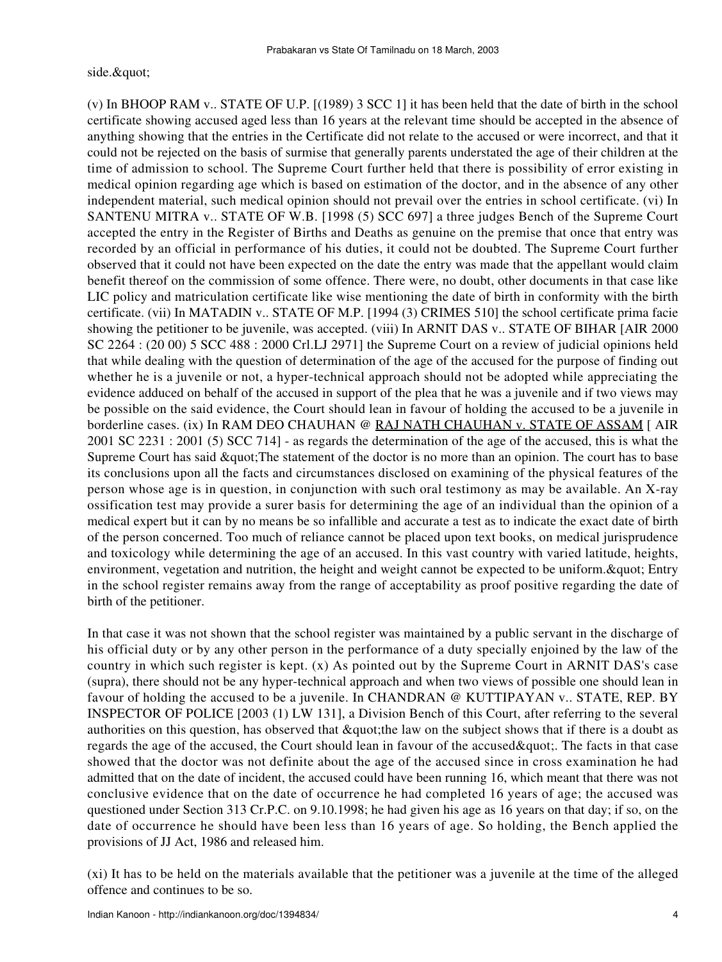(v) In BHOOP RAM v.. STATE OF U.P. [(1989) 3 SCC 1] it has been held that the date of birth in the school certificate showing accused aged less than 16 years at the relevant time should be accepted in the absence of anything showing that the entries in the Certificate did not relate to the accused or were incorrect, and that it could not be rejected on the basis of surmise that generally parents understated the age of their children at the time of admission to school. The Supreme Court further held that there is possibility of error existing in medical opinion regarding age which is based on estimation of the doctor, and in the absence of any other independent material, such medical opinion should not prevail over the entries in school certificate. (vi) In SANTENU MITRA v.. STATE OF W.B. [1998 (5) SCC 697] a three judges Bench of the Supreme Court accepted the entry in the Register of Births and Deaths as genuine on the premise that once that entry was recorded by an official in performance of his duties, it could not be doubted. The Supreme Court further observed that it could not have been expected on the date the entry was made that the appellant would claim benefit thereof on the commission of some offence. There were, no doubt, other documents in that case like LIC policy and matriculation certificate like wise mentioning the date of birth in conformity with the birth certificate. (vii) In MATADIN v.. STATE OF M.P. [1994 (3) CRIMES 510] the school certificate prima facie showing the petitioner to be juvenile, was accepted. (viii) In ARNIT DAS v.. STATE OF BIHAR [AIR 2000 SC 2264 : (20 00) 5 SCC 488 : 2000 Crl.LJ 2971] the Supreme Court on a review of judicial opinions held that while dealing with the question of determination of the age of the accused for the purpose of finding out whether he is a juvenile or not, a hyper-technical approach should not be adopted while appreciating the evidence adduced on behalf of the accused in support of the plea that he was a juvenile and if two views may be possible on the said evidence, the Court should lean in favour of holding the accused to be a juvenile in borderline cases. (ix) In RAM DEO CHAUHAN @ RAJ NATH CHAUHAN v. STATE OF ASSAM [ AIR 2001 SC 2231 : 2001 (5) SCC 714] - as regards the determination of the age of the accused, this is what the Supreme Court has said  $\&$ quot; The statement of the doctor is no more than an opinion. The court has to base its conclusions upon all the facts and circumstances disclosed on examining of the physical features of the person whose age is in question, in conjunction with such oral testimony as may be available. An X-ray ossification test may provide a surer basis for determining the age of an individual than the opinion of a medical expert but it can by no means be so infallible and accurate a test as to indicate the exact date of birth of the person concerned. Too much of reliance cannot be placed upon text books, on medical jurisprudence and toxicology while determining the age of an accused. In this vast country with varied latitude, heights, environment, vegetation and nutrition, the height and weight cannot be expected to be uniform. & quot; Entry in the school register remains away from the range of acceptability as proof positive regarding the date of birth of the petitioner.

In that case it was not shown that the school register was maintained by a public servant in the discharge of his official duty or by any other person in the performance of a duty specially enjoined by the law of the country in which such register is kept. (x) As pointed out by the Supreme Court in ARNIT DAS's case (supra), there should not be any hyper-technical approach and when two views of possible one should lean in favour of holding the accused to be a juvenile. In CHANDRAN @ KUTTIPAYAN v.. STATE, REP. BY INSPECTOR OF POLICE [2003 (1) LW 131], a Division Bench of this Court, after referring to the several authorities on this question, has observed that  $\&$  quot; the law on the subject shows that if there is a doubt as regards the age of the accused, the Court should lean in favour of the accused & quot;. The facts in that case showed that the doctor was not definite about the age of the accused since in cross examination he had admitted that on the date of incident, the accused could have been running 16, which meant that there was not conclusive evidence that on the date of occurrence he had completed 16 years of age; the accused was questioned under Section 313 Cr.P.C. on 9.10.1998; he had given his age as 16 years on that day; if so, on the date of occurrence he should have been less than 16 years of age. So holding, the Bench applied the provisions of JJ Act, 1986 and released him.

(xi) It has to be held on the materials available that the petitioner was a juvenile at the time of the alleged offence and continues to be so.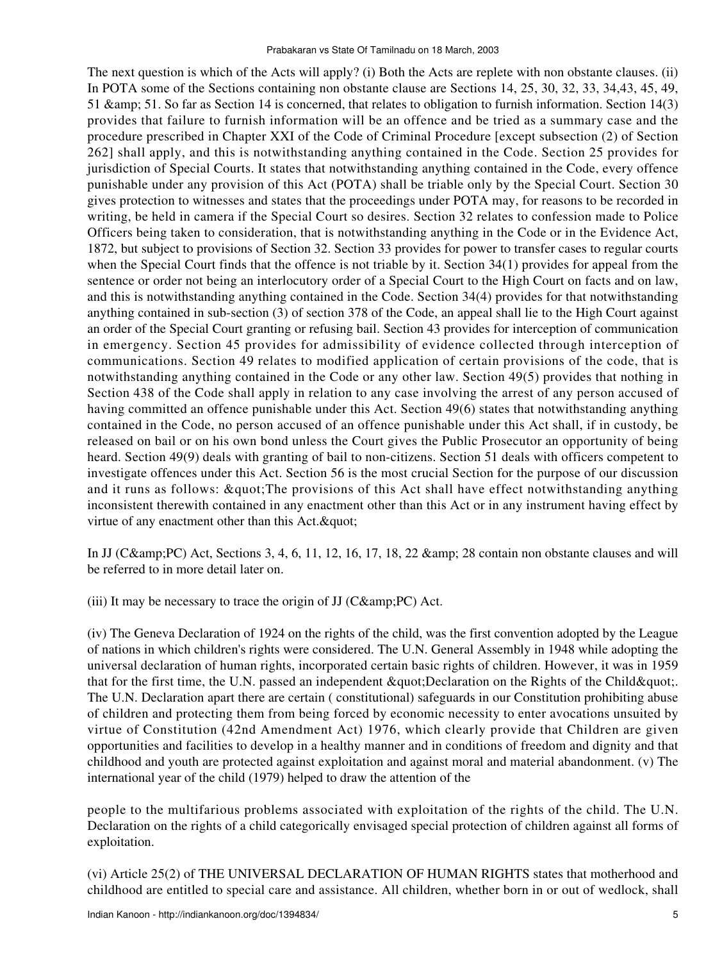The next question is which of the Acts will apply? (i) Both the Acts are replete with non obstante clauses. (ii) In POTA some of the Sections containing non obstante clause are Sections 14, 25, 30, 32, 33, 34,43, 45, 49, 51 & 51. So far as Section 14 is concerned, that relates to obligation to furnish information. Section 14(3) provides that failure to furnish information will be an offence and be tried as a summary case and the procedure prescribed in Chapter XXI of the Code of Criminal Procedure [except subsection (2) of Section 262] shall apply, and this is notwithstanding anything contained in the Code. Section 25 provides for jurisdiction of Special Courts. It states that notwithstanding anything contained in the Code, every offence punishable under any provision of this Act (POTA) shall be triable only by the Special Court. Section 30 gives protection to witnesses and states that the proceedings under POTA may, for reasons to be recorded in writing, be held in camera if the Special Court so desires. Section 32 relates to confession made to Police Officers being taken to consideration, that is notwithstanding anything in the Code or in the Evidence Act, 1872, but subject to provisions of Section 32. Section 33 provides for power to transfer cases to regular courts when the Special Court finds that the offence is not triable by it. Section 34(1) provides for appeal from the sentence or order not being an interlocutory order of a Special Court to the High Court on facts and on law, and this is notwithstanding anything contained in the Code. Section 34(4) provides for that notwithstanding anything contained in sub-section (3) of section 378 of the Code, an appeal shall lie to the High Court against an order of the Special Court granting or refusing bail. Section 43 provides for interception of communication in emergency. Section 45 provides for admissibility of evidence collected through interception of communications. Section 49 relates to modified application of certain provisions of the code, that is notwithstanding anything contained in the Code or any other law. Section 49(5) provides that nothing in Section 438 of the Code shall apply in relation to any case involving the arrest of any person accused of having committed an offence punishable under this Act. Section 49(6) states that notwithstanding anything contained in the Code, no person accused of an offence punishable under this Act shall, if in custody, be released on bail or on his own bond unless the Court gives the Public Prosecutor an opportunity of being heard. Section 49(9) deals with granting of bail to non-citizens. Section 51 deals with officers competent to investigate offences under this Act. Section 56 is the most crucial Section for the purpose of our discussion and it runs as follows: " The provisions of this Act shall have effect notwithstanding anything inconsistent therewith contained in any enactment other than this Act or in any instrument having effect by virtue of any enactment other than this Act. & quot;

In JJ (C& PC) Act, Sections 3, 4, 6, 11, 12, 16, 17, 18, 22 & 28 contain non obstante clauses and will be referred to in more detail later on.

(iii) It may be necessary to trace the origin of  $JJ$  ( $C\&P\&C$ ) Act.

(iv) The Geneva Declaration of 1924 on the rights of the child, was the first convention adopted by the League of nations in which children's rights were considered. The U.N. General Assembly in 1948 while adopting the universal declaration of human rights, incorporated certain basic rights of children. However, it was in 1959 that for the first time, the U.N. passed an independent " Declaration on the Rights of the Child". The U.N. Declaration apart there are certain ( constitutional) safeguards in our Constitution prohibiting abuse of children and protecting them from being forced by economic necessity to enter avocations unsuited by virtue of Constitution (42nd Amendment Act) 1976, which clearly provide that Children are given opportunities and facilities to develop in a healthy manner and in conditions of freedom and dignity and that childhood and youth are protected against exploitation and against moral and material abandonment. (v) The international year of the child (1979) helped to draw the attention of the

people to the multifarious problems associated with exploitation of the rights of the child. The U.N. Declaration on the rights of a child categorically envisaged special protection of children against all forms of exploitation.

(vi) Article 25(2) of THE UNIVERSAL DECLARATION OF HUMAN RIGHTS states that motherhood and childhood are entitled to special care and assistance. All children, whether born in or out of wedlock, shall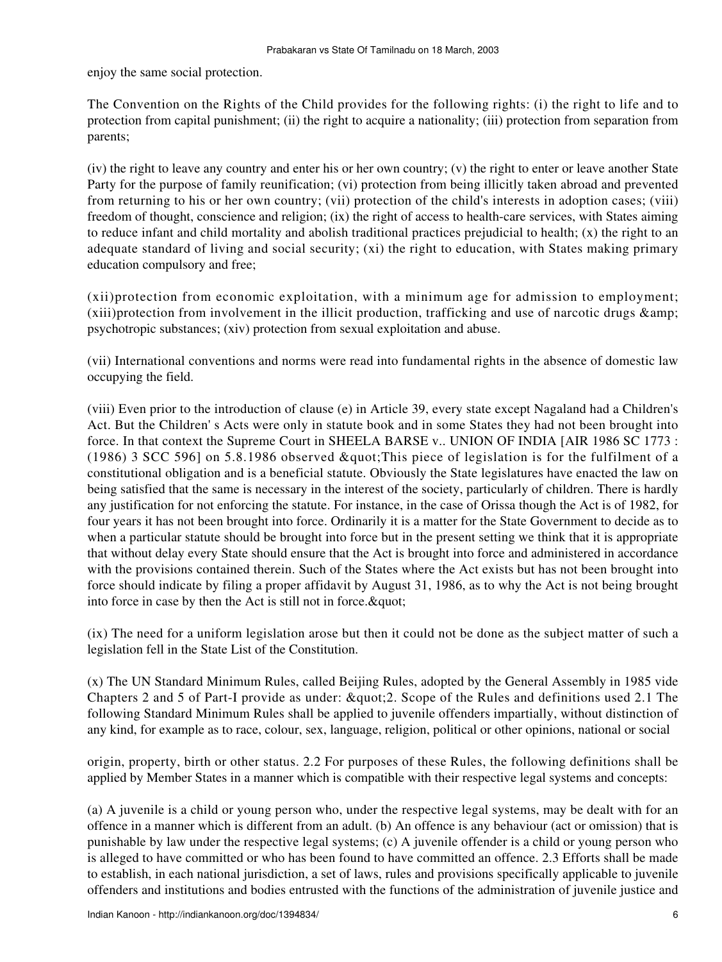enjoy the same social protection.

The Convention on the Rights of the Child provides for the following rights: (i) the right to life and to protection from capital punishment; (ii) the right to acquire a nationality; (iii) protection from separation from parents;

(iv) the right to leave any country and enter his or her own country; (v) the right to enter or leave another State Party for the purpose of family reunification; (vi) protection from being illicitly taken abroad and prevented from returning to his or her own country; (vii) protection of the child's interests in adoption cases; (viii) freedom of thought, conscience and religion; (ix) the right of access to health-care services, with States aiming to reduce infant and child mortality and abolish traditional practices prejudicial to health; (x) the right to an adequate standard of living and social security; (xi) the right to education, with States making primary education compulsory and free;

(xii)protection from economic exploitation, with a minimum age for admission to employment; (xiii)protection from involvement in the illicit production, trafficking and use of narcotic drugs & psychotropic substances; (xiv) protection from sexual exploitation and abuse.

(vii) International conventions and norms were read into fundamental rights in the absence of domestic law occupying the field.

(viii) Even prior to the introduction of clause (e) in Article 39, every state except Nagaland had a Children's Act. But the Children' s Acts were only in statute book and in some States they had not been brought into force. In that context the Supreme Court in SHEELA BARSE v.. UNION OF INDIA [AIR 1986 SC 1773 : (1986) 3 SCC 596] on 5.8.1986 observed  $\&$  quot; This piece of legislation is for the fulfilment of a constitutional obligation and is a beneficial statute. Obviously the State legislatures have enacted the law on being satisfied that the same is necessary in the interest of the society, particularly of children. There is hardly any justification for not enforcing the statute. For instance, in the case of Orissa though the Act is of 1982, for four years it has not been brought into force. Ordinarily it is a matter for the State Government to decide as to when a particular statute should be brought into force but in the present setting we think that it is appropriate that without delay every State should ensure that the Act is brought into force and administered in accordance with the provisions contained therein. Such of the States where the Act exists but has not been brought into force should indicate by filing a proper affidavit by August 31, 1986, as to why the Act is not being brought into force in case by then the Act is still not in force. & quot;

(ix) The need for a uniform legislation arose but then it could not be done as the subject matter of such a legislation fell in the State List of the Constitution.

(x) The UN Standard Minimum Rules, called Beijing Rules, adopted by the General Assembly in 1985 vide Chapters 2 and 5 of Part-I provide as under:  $\&$  quot; 2. Scope of the Rules and definitions used 2.1 The following Standard Minimum Rules shall be applied to juvenile offenders impartially, without distinction of any kind, for example as to race, colour, sex, language, religion, political or other opinions, national or social

origin, property, birth or other status. 2.2 For purposes of these Rules, the following definitions shall be applied by Member States in a manner which is compatible with their respective legal systems and concepts:

(a) A juvenile is a child or young person who, under the respective legal systems, may be dealt with for an offence in a manner which is different from an adult. (b) An offence is any behaviour (act or omission) that is punishable by law under the respective legal systems; (c) A juvenile offender is a child or young person who is alleged to have committed or who has been found to have committed an offence. 2.3 Efforts shall be made to establish, in each national jurisdiction, a set of laws, rules and provisions specifically applicable to juvenile offenders and institutions and bodies entrusted with the functions of the administration of juvenile justice and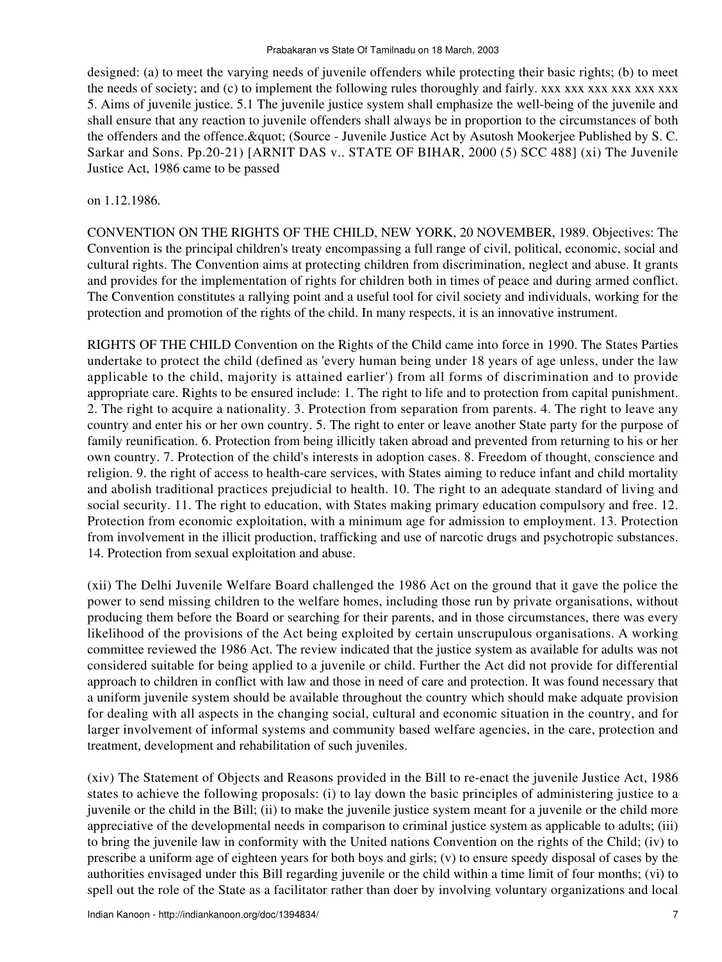designed: (a) to meet the varying needs of juvenile offenders while protecting their basic rights; (b) to meet the needs of society; and (c) to implement the following rules thoroughly and fairly. xxx xxx xxx xxx xxx xxx 5. Aims of juvenile justice. 5.1 The juvenile justice system shall emphasize the well-being of the juvenile and shall ensure that any reaction to juvenile offenders shall always be in proportion to the circumstances of both the offenders and the offence. & quot; (Source - Juvenile Justice Act by Asutosh Mookerjee Published by S. C. Sarkar and Sons. Pp.20-21) [ARNIT DAS v.. STATE OF BIHAR, 2000 (5) SCC 488] (xi) The Juvenile Justice Act, 1986 came to be passed

## on 1.12.1986.

CONVENTION ON THE RIGHTS OF THE CHILD, NEW YORK, 20 NOVEMBER, 1989. Objectives: The Convention is the principal children's treaty encompassing a full range of civil, political, economic, social and cultural rights. The Convention aims at protecting children from discrimination, neglect and abuse. It grants and provides for the implementation of rights for children both in times of peace and during armed conflict. The Convention constitutes a rallying point and a useful tool for civil society and individuals, working for the protection and promotion of the rights of the child. In many respects, it is an innovative instrument.

RIGHTS OF THE CHILD Convention on the Rights of the Child came into force in 1990. The States Parties undertake to protect the child (defined as 'every human being under 18 years of age unless, under the law applicable to the child, majority is attained earlier') from all forms of discrimination and to provide appropriate care. Rights to be ensured include: 1. The right to life and to protection from capital punishment. 2. The right to acquire a nationality. 3. Protection from separation from parents. 4. The right to leave any country and enter his or her own country. 5. The right to enter or leave another State party for the purpose of family reunification. 6. Protection from being illicitly taken abroad and prevented from returning to his or her own country. 7. Protection of the child's interests in adoption cases. 8. Freedom of thought, conscience and religion. 9. the right of access to health-care services, with States aiming to reduce infant and child mortality and abolish traditional practices prejudicial to health. 10. The right to an adequate standard of living and social security. 11. The right to education, with States making primary education compulsory and free. 12. Protection from economic exploitation, with a minimum age for admission to employment. 13. Protection from involvement in the illicit production, trafficking and use of narcotic drugs and psychotropic substances. 14. Protection from sexual exploitation and abuse.

(xii) The Delhi Juvenile Welfare Board challenged the 1986 Act on the ground that it gave the police the power to send missing children to the welfare homes, including those run by private organisations, without producing them before the Board or searching for their parents, and in those circumstances, there was every likelihood of the provisions of the Act being exploited by certain unscrupulous organisations. A working committee reviewed the 1986 Act. The review indicated that the justice system as available for adults was not considered suitable for being applied to a juvenile or child. Further the Act did not provide for differential approach to children in conflict with law and those in need of care and protection. It was found necessary that a uniform juvenile system should be available throughout the country which should make adquate provision for dealing with all aspects in the changing social, cultural and economic situation in the country, and for larger involvement of informal systems and community based welfare agencies, in the care, protection and treatment, development and rehabilitation of such juveniles.

(xiv) The Statement of Objects and Reasons provided in the Bill to re-enact the juvenile Justice Act, 1986 states to achieve the following proposals: (i) to lay down the basic principles of administering justice to a juvenile or the child in the Bill; (ii) to make the juvenile justice system meant for a juvenile or the child more appreciative of the developmental needs in comparison to criminal justice system as applicable to adults; (iii) to bring the juvenile law in conformity with the United nations Convention on the rights of the Child; (iv) to prescribe a uniform age of eighteen years for both boys and girls; (v) to ensure speedy disposal of cases by the authorities envisaged under this Bill regarding juvenile or the child within a time limit of four months; (vi) to spell out the role of the State as a facilitator rather than doer by involving voluntary organizations and local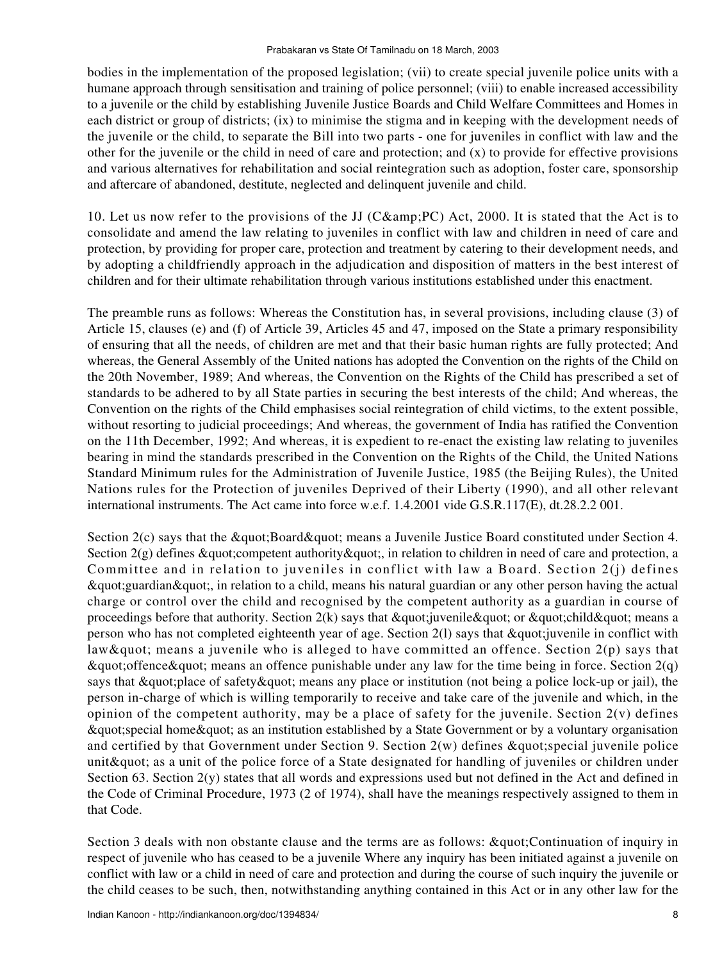bodies in the implementation of the proposed legislation; (vii) to create special juvenile police units with a humane approach through sensitisation and training of police personnel; (viii) to enable increased accessibility to a juvenile or the child by establishing Juvenile Justice Boards and Child Welfare Committees and Homes in each district or group of districts; (ix) to minimise the stigma and in keeping with the development needs of the juvenile or the child, to separate the Bill into two parts - one for juveniles in conflict with law and the other for the juvenile or the child in need of care and protection; and (x) to provide for effective provisions and various alternatives for rehabilitation and social reintegration such as adoption, foster care, sponsorship and aftercare of abandoned, destitute, neglected and delinquent juvenile and child.

10. Let us now refer to the provisions of the JJ ( $C\&amp;P<sub>C</sub>$ ) Act, 2000. It is stated that the Act is to consolidate and amend the law relating to juveniles in conflict with law and children in need of care and protection, by providing for proper care, protection and treatment by catering to their development needs, and by adopting a childfriendly approach in the adjudication and disposition of matters in the best interest of children and for their ultimate rehabilitation through various institutions established under this enactment.

The preamble runs as follows: Whereas the Constitution has, in several provisions, including clause (3) of Article 15, clauses (e) and (f) of Article 39, Articles 45 and 47, imposed on the State a primary responsibility of ensuring that all the needs, of children are met and that their basic human rights are fully protected; And whereas, the General Assembly of the United nations has adopted the Convention on the rights of the Child on the 20th November, 1989; And whereas, the Convention on the Rights of the Child has prescribed a set of standards to be adhered to by all State parties in securing the best interests of the child; And whereas, the Convention on the rights of the Child emphasises social reintegration of child victims, to the extent possible, without resorting to judicial proceedings; And whereas, the government of India has ratified the Convention on the 11th December, 1992; And whereas, it is expedient to re-enact the existing law relating to juveniles bearing in mind the standards prescribed in the Convention on the Rights of the Child, the United Nations Standard Minimum rules for the Administration of Juvenile Justice, 1985 (the Beijing Rules), the United Nations rules for the Protection of juveniles Deprived of their Liberty (1990), and all other relevant international instruments. The Act came into force w.e.f. 1.4.2001 vide G.S.R.117(E), dt.28.2.2 001.

Section  $2(c)$  says that the  $\&$ quot; Board $\&$ quot; means a Juvenile Justice Board constituted under Section 4. Section 2(g) defines " competent authority ", in relation to children in need of care and protection, a Committee and in relation to juveniles in conflict with law a Board. Section  $2(i)$  defines " guardian & quot;, in relation to a child, means his natural guardian or any other person having the actual charge or control over the child and recognised by the competent authority as a guardian in course of proceedings before that authority. Section  $2(k)$  says that  $\&$  quot; juvenile  $\&$  quot; or  $\&$  quot; child  $\&$  quot; means a person who has not completed eighteenth year of age. Section  $2(1)$  says that  $\&$  quot; juvenile in conflict with law & quot; means a juvenile who is alleged to have committed an offence. Section  $2(p)$  says that  $\&$ quot; offence $\&$ quot; means an offence punishable under any law for the time being in force. Section 2(q) says that "place of safety " means any place or institution (not being a police lock-up or jail), the person in-charge of which is willing temporarily to receive and take care of the juvenile and which, in the opinion of the competent authority, may be a place of safety for the juvenile. Section  $2(v)$  defines  $\&$ quot; special home $\&$ quot; as an institution established by a State Government or by a voluntary organisation and certified by that Government under Section 9. Section  $2(w)$  defines  $\&$  quot; special juvenile police unit & quot; as a unit of the police force of a State designated for handling of juveniles or children under Section 63. Section 2(y) states that all words and expressions used but not defined in the Act and defined in the Code of Criminal Procedure, 1973 (2 of 1974), shall have the meanings respectively assigned to them in that Code.

Section 3 deals with non obstante clause and the terms are as follows: " Continuation of inquiry in respect of juvenile who has ceased to be a juvenile Where any inquiry has been initiated against a juvenile on conflict with law or a child in need of care and protection and during the course of such inquiry the juvenile or the child ceases to be such, then, notwithstanding anything contained in this Act or in any other law for the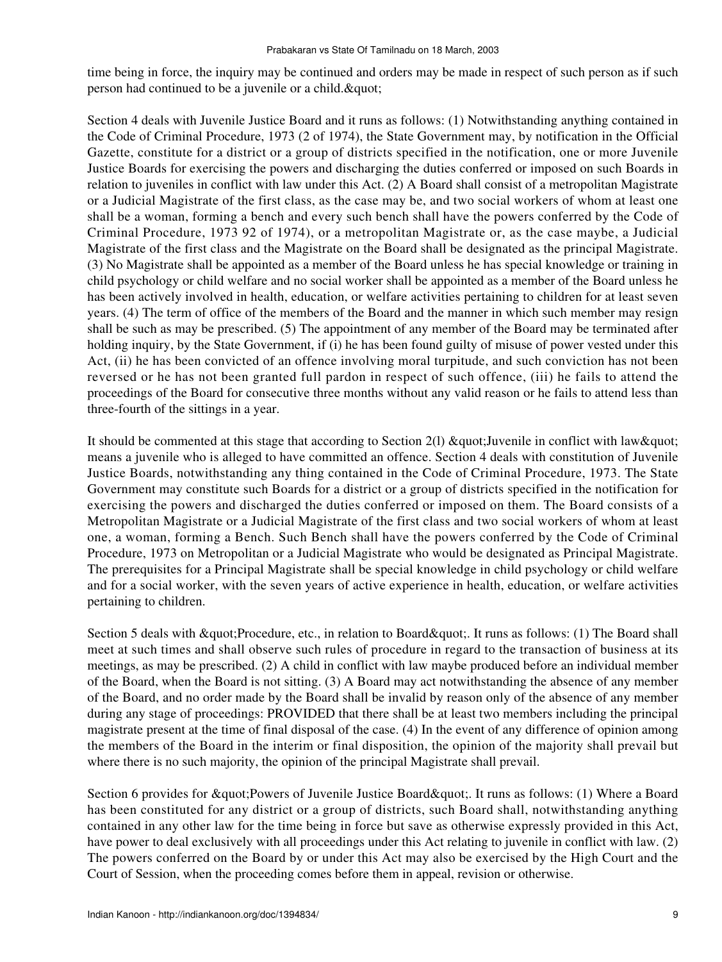time being in force, the inquiry may be continued and orders may be made in respect of such person as if such person had continued to be a juvenile or a child.  $\&$  quot;

Section 4 deals with Juvenile Justice Board and it runs as follows: (1) Notwithstanding anything contained in the Code of Criminal Procedure, 1973 (2 of 1974), the State Government may, by notification in the Official Gazette, constitute for a district or a group of districts specified in the notification, one or more Juvenile Justice Boards for exercising the powers and discharging the duties conferred or imposed on such Boards in relation to juveniles in conflict with law under this Act. (2) A Board shall consist of a metropolitan Magistrate or a Judicial Magistrate of the first class, as the case may be, and two social workers of whom at least one shall be a woman, forming a bench and every such bench shall have the powers conferred by the Code of Criminal Procedure, 1973 92 of 1974), or a metropolitan Magistrate or, as the case maybe, a Judicial Magistrate of the first class and the Magistrate on the Board shall be designated as the principal Magistrate. (3) No Magistrate shall be appointed as a member of the Board unless he has special knowledge or training in child psychology or child welfare and no social worker shall be appointed as a member of the Board unless he has been actively involved in health, education, or welfare activities pertaining to children for at least seven years. (4) The term of office of the members of the Board and the manner in which such member may resign shall be such as may be prescribed. (5) The appointment of any member of the Board may be terminated after holding inquiry, by the State Government, if (i) he has been found guilty of misuse of power vested under this Act, (ii) he has been convicted of an offence involving moral turpitude, and such conviction has not been reversed or he has not been granted full pardon in respect of such offence, (iii) he fails to attend the proceedings of the Board for consecutive three months without any valid reason or he fails to attend less than three-fourth of the sittings in a year.

It should be commented at this stage that according to Section 2(1)  $\&$  quot; Juvenile in conflict with law $\&$  quot; means a juvenile who is alleged to have committed an offence. Section 4 deals with constitution of Juvenile Justice Boards, notwithstanding any thing contained in the Code of Criminal Procedure, 1973. The State Government may constitute such Boards for a district or a group of districts specified in the notification for exercising the powers and discharged the duties conferred or imposed on them. The Board consists of a Metropolitan Magistrate or a Judicial Magistrate of the first class and two social workers of whom at least one, a woman, forming a Bench. Such Bench shall have the powers conferred by the Code of Criminal Procedure, 1973 on Metropolitan or a Judicial Magistrate who would be designated as Principal Magistrate. The prerequisites for a Principal Magistrate shall be special knowledge in child psychology or child welfare and for a social worker, with the seven years of active experience in health, education, or welfare activities pertaining to children.

Section 5 deals with " Procedure, etc., in relation to Board ". It runs as follows: (1) The Board shall meet at such times and shall observe such rules of procedure in regard to the transaction of business at its meetings, as may be prescribed. (2) A child in conflict with law maybe produced before an individual member of the Board, when the Board is not sitting. (3) A Board may act notwithstanding the absence of any member of the Board, and no order made by the Board shall be invalid by reason only of the absence of any member during any stage of proceedings: PROVIDED that there shall be at least two members including the principal magistrate present at the time of final disposal of the case. (4) In the event of any difference of opinion among the members of the Board in the interim or final disposition, the opinion of the majority shall prevail but where there is no such majority, the opinion of the principal Magistrate shall prevail.

Section 6 provides for " Powers of Juvenile Justice Board". It runs as follows: (1) Where a Board has been constituted for any district or a group of districts, such Board shall, notwithstanding anything contained in any other law for the time being in force but save as otherwise expressly provided in this Act, have power to deal exclusively with all proceedings under this Act relating to juvenile in conflict with law. (2) The powers conferred on the Board by or under this Act may also be exercised by the High Court and the Court of Session, when the proceeding comes before them in appeal, revision or otherwise.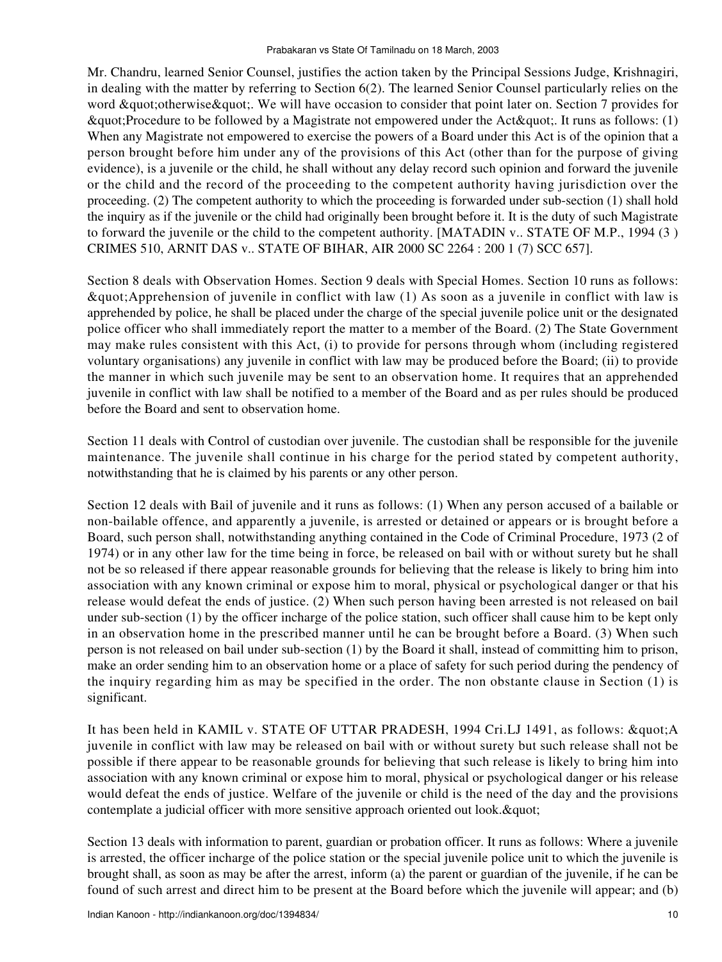Mr. Chandru, learned Senior Counsel, justifies the action taken by the Principal Sessions Judge, Krishnagiri, in dealing with the matter by referring to Section 6(2). The learned Senior Counsel particularly relies on the word " otherwise ". We will have occasion to consider that point later on. Section 7 provides for "Procedure to be followed by a Magistrate not empowered under the Act". It runs as follows: (1) When any Magistrate not empowered to exercise the powers of a Board under this Act is of the opinion that a person brought before him under any of the provisions of this Act (other than for the purpose of giving evidence), is a juvenile or the child, he shall without any delay record such opinion and forward the juvenile or the child and the record of the proceeding to the competent authority having jurisdiction over the proceeding. (2) The competent authority to which the proceeding is forwarded under sub-section (1) shall hold the inquiry as if the juvenile or the child had originally been brought before it. It is the duty of such Magistrate to forward the juvenile or the child to the competent authority. [MATADIN v.. STATE OF M.P., 1994 (3 ) CRIMES 510, ARNIT DAS v.. STATE OF BIHAR, AIR 2000 SC 2264 : 200 1 (7) SCC 657].

Section 8 deals with Observation Homes. Section 9 deals with Special Homes. Section 10 runs as follows:  $\&$ quot; Apprehension of juvenile in conflict with law (1) As soon as a juvenile in conflict with law is apprehended by police, he shall be placed under the charge of the special juvenile police unit or the designated police officer who shall immediately report the matter to a member of the Board. (2) The State Government may make rules consistent with this Act, (i) to provide for persons through whom (including registered voluntary organisations) any juvenile in conflict with law may be produced before the Board; (ii) to provide the manner in which such juvenile may be sent to an observation home. It requires that an apprehended juvenile in conflict with law shall be notified to a member of the Board and as per rules should be produced before the Board and sent to observation home.

Section 11 deals with Control of custodian over juvenile. The custodian shall be responsible for the juvenile maintenance. The juvenile shall continue in his charge for the period stated by competent authority, notwithstanding that he is claimed by his parents or any other person.

Section 12 deals with Bail of juvenile and it runs as follows: (1) When any person accused of a bailable or non-bailable offence, and apparently a juvenile, is arrested or detained or appears or is brought before a Board, such person shall, notwithstanding anything contained in the Code of Criminal Procedure, 1973 (2 of 1974) or in any other law for the time being in force, be released on bail with or without surety but he shall not be so released if there appear reasonable grounds for believing that the release is likely to bring him into association with any known criminal or expose him to moral, physical or psychological danger or that his release would defeat the ends of justice. (2) When such person having been arrested is not released on bail under sub-section (1) by the officer incharge of the police station, such officer shall cause him to be kept only in an observation home in the prescribed manner until he can be brought before a Board. (3) When such person is not released on bail under sub-section (1) by the Board it shall, instead of committing him to prison, make an order sending him to an observation home or a place of safety for such period during the pendency of the inquiry regarding him as may be specified in the order. The non obstante clause in Section (1) is significant.

It has been held in KAMIL v. STATE OF UTTAR PRADESH, 1994 Cri.LJ 1491, as follows: " A juvenile in conflict with law may be released on bail with or without surety but such release shall not be possible if there appear to be reasonable grounds for believing that such release is likely to bring him into association with any known criminal or expose him to moral, physical or psychological danger or his release would defeat the ends of justice. Welfare of the juvenile or child is the need of the day and the provisions contemplate a judicial officer with more sensitive approach oriented out look. & quot;

Section 13 deals with information to parent, guardian or probation officer. It runs as follows: Where a juvenile is arrested, the officer incharge of the police station or the special juvenile police unit to which the juvenile is brought shall, as soon as may be after the arrest, inform (a) the parent or guardian of the juvenile, if he can be found of such arrest and direct him to be present at the Board before which the juvenile will appear; and (b)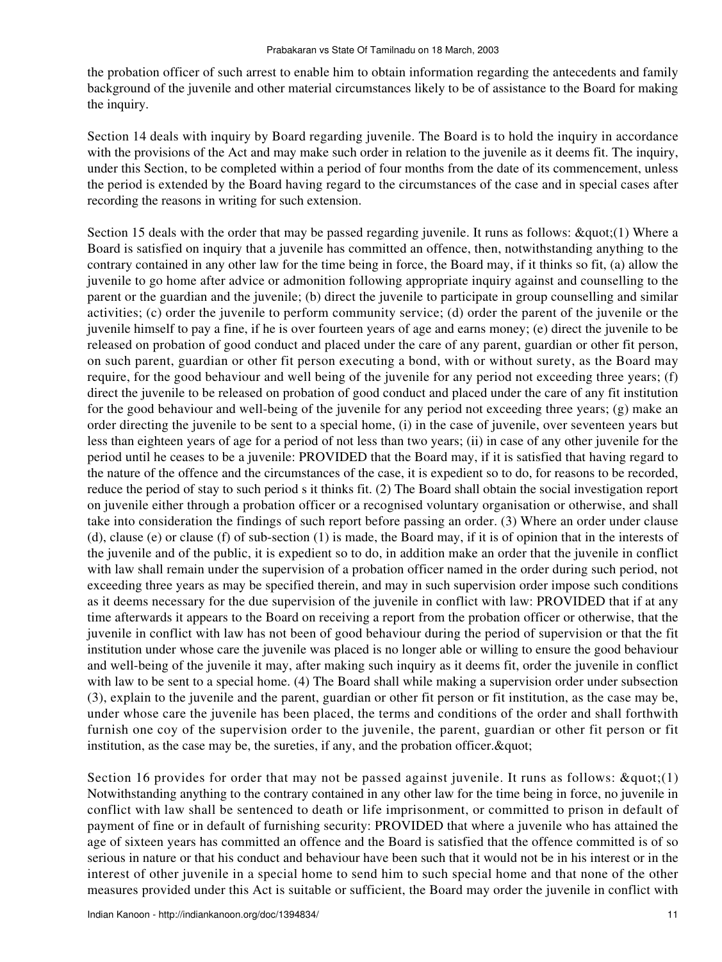the probation officer of such arrest to enable him to obtain information regarding the antecedents and family background of the juvenile and other material circumstances likely to be of assistance to the Board for making the inquiry.

Section 14 deals with inquiry by Board regarding juvenile. The Board is to hold the inquiry in accordance with the provisions of the Act and may make such order in relation to the juvenile as it deems fit. The inquiry, under this Section, to be completed within a period of four months from the date of its commencement, unless the period is extended by the Board having regard to the circumstances of the case and in special cases after recording the reasons in writing for such extension.

Section 15 deals with the order that may be passed regarding juvenile. It runs as follows:  $\&$ quot; $(1)$  Where a Board is satisfied on inquiry that a juvenile has committed an offence, then, notwithstanding anything to the contrary contained in any other law for the time being in force, the Board may, if it thinks so fit, (a) allow the juvenile to go home after advice or admonition following appropriate inquiry against and counselling to the parent or the guardian and the juvenile; (b) direct the juvenile to participate in group counselling and similar activities; (c) order the juvenile to perform community service; (d) order the parent of the juvenile or the juvenile himself to pay a fine, if he is over fourteen years of age and earns money; (e) direct the juvenile to be released on probation of good conduct and placed under the care of any parent, guardian or other fit person, on such parent, guardian or other fit person executing a bond, with or without surety, as the Board may require, for the good behaviour and well being of the juvenile for any period not exceeding three years; (f) direct the juvenile to be released on probation of good conduct and placed under the care of any fit institution for the good behaviour and well-being of the juvenile for any period not exceeding three years; (g) make an order directing the juvenile to be sent to a special home, (i) in the case of juvenile, over seventeen years but less than eighteen years of age for a period of not less than two years; (ii) in case of any other juvenile for the period until he ceases to be a juvenile: PROVIDED that the Board may, if it is satisfied that having regard to the nature of the offence and the circumstances of the case, it is expedient so to do, for reasons to be recorded, reduce the period of stay to such period s it thinks fit. (2) The Board shall obtain the social investigation report on juvenile either through a probation officer or a recognised voluntary organisation or otherwise, and shall take into consideration the findings of such report before passing an order. (3) Where an order under clause (d), clause (e) or clause (f) of sub-section (1) is made, the Board may, if it is of opinion that in the interests of the juvenile and of the public, it is expedient so to do, in addition make an order that the juvenile in conflict with law shall remain under the supervision of a probation officer named in the order during such period, not exceeding three years as may be specified therein, and may in such supervision order impose such conditions as it deems necessary for the due supervision of the juvenile in conflict with law: PROVIDED that if at any time afterwards it appears to the Board on receiving a report from the probation officer or otherwise, that the juvenile in conflict with law has not been of good behaviour during the period of supervision or that the fit institution under whose care the juvenile was placed is no longer able or willing to ensure the good behaviour and well-being of the juvenile it may, after making such inquiry as it deems fit, order the juvenile in conflict with law to be sent to a special home. (4) The Board shall while making a supervision order under subsection (3), explain to the juvenile and the parent, guardian or other fit person or fit institution, as the case may be, under whose care the juvenile has been placed, the terms and conditions of the order and shall forthwith furnish one coy of the supervision order to the juvenile, the parent, guardian or other fit person or fit institution, as the case may be, the sureties, if any, and the probation officer.  $\&$  quot;

Section 16 provides for order that may not be passed against juvenile. It runs as follows:  $\&$ quot; $(1)$ Notwithstanding anything to the contrary contained in any other law for the time being in force, no juvenile in conflict with law shall be sentenced to death or life imprisonment, or committed to prison in default of payment of fine or in default of furnishing security: PROVIDED that where a juvenile who has attained the age of sixteen years has committed an offence and the Board is satisfied that the offence committed is of so serious in nature or that his conduct and behaviour have been such that it would not be in his interest or in the interest of other juvenile in a special home to send him to such special home and that none of the other measures provided under this Act is suitable or sufficient, the Board may order the juvenile in conflict with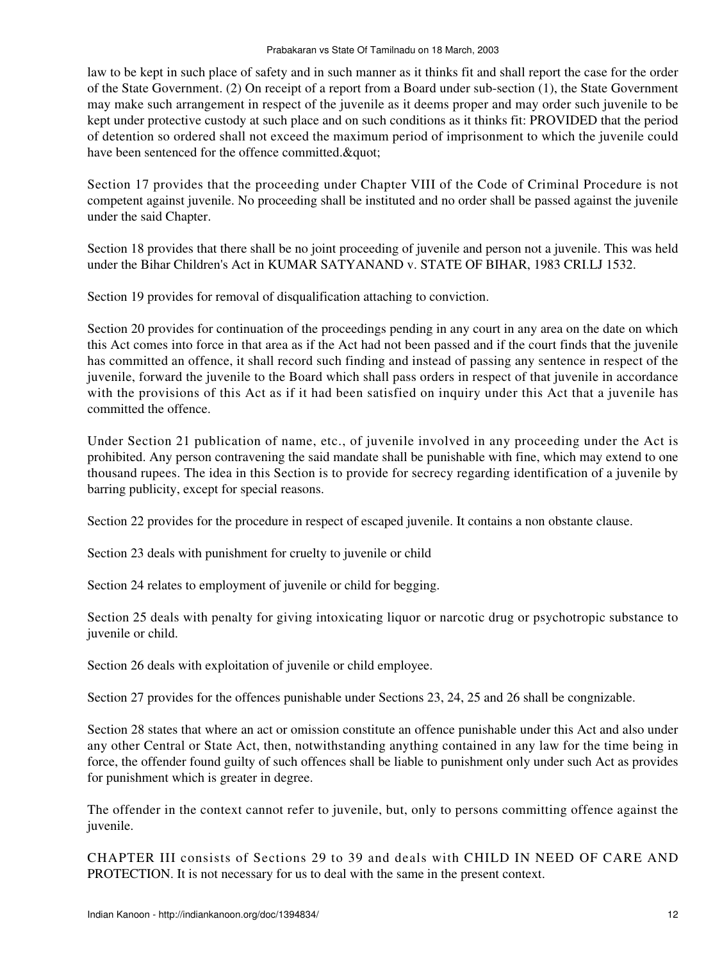law to be kept in such place of safety and in such manner as it thinks fit and shall report the case for the order of the State Government. (2) On receipt of a report from a Board under sub-section (1), the State Government may make such arrangement in respect of the juvenile as it deems proper and may order such juvenile to be kept under protective custody at such place and on such conditions as it thinks fit: PROVIDED that the period of detention so ordered shall not exceed the maximum period of imprisonment to which the juvenile could have been sentenced for the offence committed. & quot;

Section 17 provides that the proceeding under Chapter VIII of the Code of Criminal Procedure is not competent against juvenile. No proceeding shall be instituted and no order shall be passed against the juvenile under the said Chapter.

Section 18 provides that there shall be no joint proceeding of juvenile and person not a juvenile. This was held under the Bihar Children's Act in KUMAR SATYANAND v. STATE OF BIHAR, 1983 CRI.LJ 1532.

Section 19 provides for removal of disqualification attaching to conviction.

Section 20 provides for continuation of the proceedings pending in any court in any area on the date on which this Act comes into force in that area as if the Act had not been passed and if the court finds that the juvenile has committed an offence, it shall record such finding and instead of passing any sentence in respect of the juvenile, forward the juvenile to the Board which shall pass orders in respect of that juvenile in accordance with the provisions of this Act as if it had been satisfied on inquiry under this Act that a juvenile has committed the offence.

Under Section 21 publication of name, etc., of juvenile involved in any proceeding under the Act is prohibited. Any person contravening the said mandate shall be punishable with fine, which may extend to one thousand rupees. The idea in this Section is to provide for secrecy regarding identification of a juvenile by barring publicity, except for special reasons.

Section 22 provides for the procedure in respect of escaped juvenile. It contains a non obstante clause.

Section 23 deals with punishment for cruelty to juvenile or child

Section 24 relates to employment of juvenile or child for begging.

Section 25 deals with penalty for giving intoxicating liquor or narcotic drug or psychotropic substance to juvenile or child.

Section 26 deals with exploitation of juvenile or child employee.

Section 27 provides for the offences punishable under Sections 23, 24, 25 and 26 shall be congnizable.

Section 28 states that where an act or omission constitute an offence punishable under this Act and also under any other Central or State Act, then, notwithstanding anything contained in any law for the time being in force, the offender found guilty of such offences shall be liable to punishment only under such Act as provides for punishment which is greater in degree.

The offender in the context cannot refer to juvenile, but, only to persons committing offence against the juvenile.

CHAPTER III consists of Sections 29 to 39 and deals with CHILD IN NEED OF CARE AND PROTECTION. It is not necessary for us to deal with the same in the present context.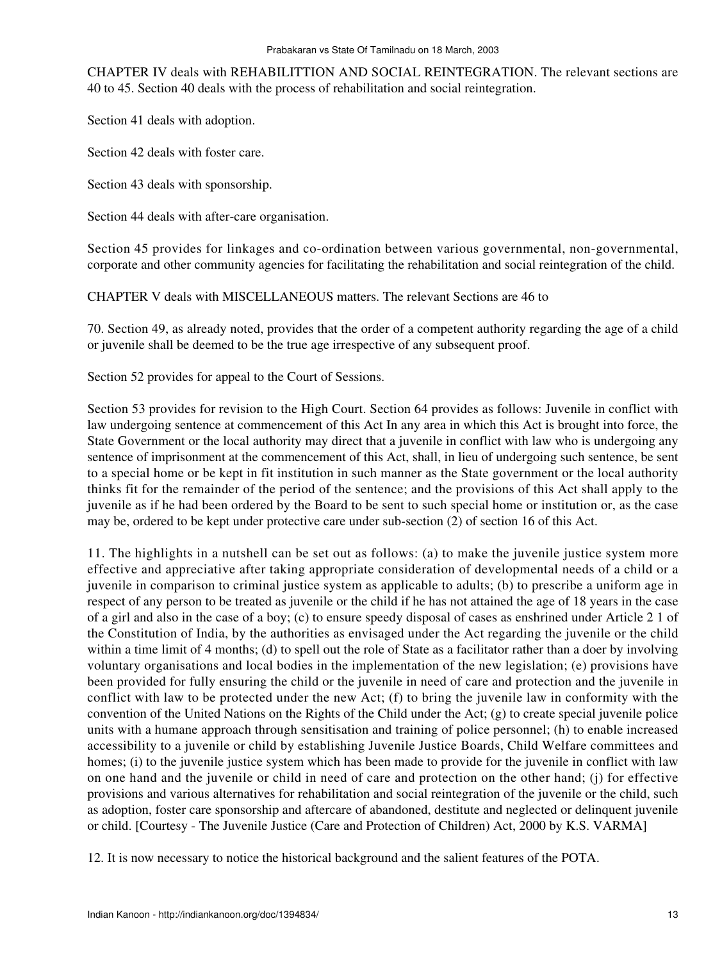CHAPTER IV deals with REHABILITTION AND SOCIAL REINTEGRATION. The relevant sections are 40 to 45. Section 40 deals with the process of rehabilitation and social reintegration.

Section 41 deals with adoption.

Section 42 deals with foster care.

Section 43 deals with sponsorship.

Section 44 deals with after-care organisation.

Section 45 provides for linkages and co-ordination between various governmental, non-governmental, corporate and other community agencies for facilitating the rehabilitation and social reintegration of the child.

CHAPTER V deals with MISCELLANEOUS matters. The relevant Sections are 46 to

70. Section 49, as already noted, provides that the order of a competent authority regarding the age of a child or juvenile shall be deemed to be the true age irrespective of any subsequent proof.

Section 52 provides for appeal to the Court of Sessions.

Section 53 provides for revision to the High Court. Section 64 provides as follows: Juvenile in conflict with law undergoing sentence at commencement of this Act In any area in which this Act is brought into force, the State Government or the local authority may direct that a juvenile in conflict with law who is undergoing any sentence of imprisonment at the commencement of this Act, shall, in lieu of undergoing such sentence, be sent to a special home or be kept in fit institution in such manner as the State government or the local authority thinks fit for the remainder of the period of the sentence; and the provisions of this Act shall apply to the juvenile as if he had been ordered by the Board to be sent to such special home or institution or, as the case may be, ordered to be kept under protective care under sub-section (2) of section 16 of this Act.

11. The highlights in a nutshell can be set out as follows: (a) to make the juvenile justice system more effective and appreciative after taking appropriate consideration of developmental needs of a child or a juvenile in comparison to criminal justice system as applicable to adults; (b) to prescribe a uniform age in respect of any person to be treated as juvenile or the child if he has not attained the age of 18 years in the case of a girl and also in the case of a boy; (c) to ensure speedy disposal of cases as enshrined under Article 2 1 of the Constitution of India, by the authorities as envisaged under the Act regarding the juvenile or the child within a time limit of 4 months; (d) to spell out the role of State as a facilitator rather than a doer by involving voluntary organisations and local bodies in the implementation of the new legislation; (e) provisions have been provided for fully ensuring the child or the juvenile in need of care and protection and the juvenile in conflict with law to be protected under the new Act; (f) to bring the juvenile law in conformity with the convention of the United Nations on the Rights of the Child under the Act; (g) to create special juvenile police units with a humane approach through sensitisation and training of police personnel; (h) to enable increased accessibility to a juvenile or child by establishing Juvenile Justice Boards, Child Welfare committees and homes; (i) to the juvenile justice system which has been made to provide for the juvenile in conflict with law on one hand and the juvenile or child in need of care and protection on the other hand; (j) for effective provisions and various alternatives for rehabilitation and social reintegration of the juvenile or the child, such as adoption, foster care sponsorship and aftercare of abandoned, destitute and neglected or delinquent juvenile or child. [Courtesy - The Juvenile Justice (Care and Protection of Children) Act, 2000 by K.S. VARMA]

12. It is now necessary to notice the historical background and the salient features of the POTA.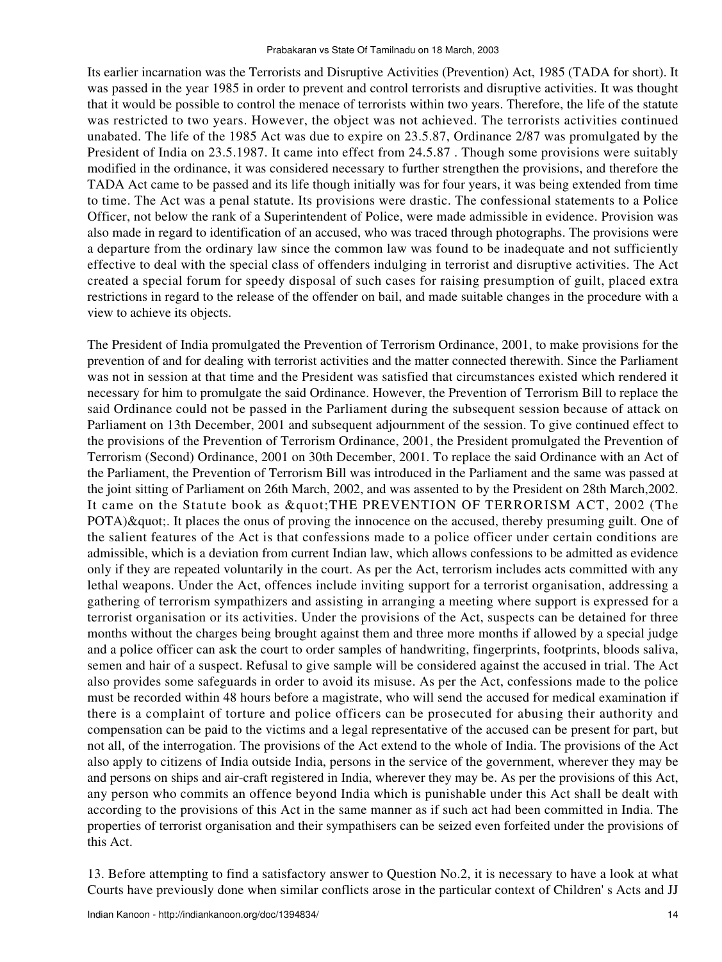Its earlier incarnation was the Terrorists and Disruptive Activities (Prevention) Act, 1985 (TADA for short). It was passed in the year 1985 in order to prevent and control terrorists and disruptive activities. It was thought that it would be possible to control the menace of terrorists within two years. Therefore, the life of the statute was restricted to two years. However, the object was not achieved. The terrorists activities continued unabated. The life of the 1985 Act was due to expire on 23.5.87, Ordinance 2/87 was promulgated by the President of India on 23.5.1987. It came into effect from 24.5.87 . Though some provisions were suitably modified in the ordinance, it was considered necessary to further strengthen the provisions, and therefore the TADA Act came to be passed and its life though initially was for four years, it was being extended from time to time. The Act was a penal statute. Its provisions were drastic. The confessional statements to a Police Officer, not below the rank of a Superintendent of Police, were made admissible in evidence. Provision was also made in regard to identification of an accused, who was traced through photographs. The provisions were a departure from the ordinary law since the common law was found to be inadequate and not sufficiently effective to deal with the special class of offenders indulging in terrorist and disruptive activities. The Act created a special forum for speedy disposal of such cases for raising presumption of guilt, placed extra restrictions in regard to the release of the offender on bail, and made suitable changes in the procedure with a view to achieve its objects.

The President of India promulgated the Prevention of Terrorism Ordinance, 2001, to make provisions for the prevention of and for dealing with terrorist activities and the matter connected therewith. Since the Parliament was not in session at that time and the President was satisfied that circumstances existed which rendered it necessary for him to promulgate the said Ordinance. However, the Prevention of Terrorism Bill to replace the said Ordinance could not be passed in the Parliament during the subsequent session because of attack on Parliament on 13th December, 2001 and subsequent adjournment of the session. To give continued effect to the provisions of the Prevention of Terrorism Ordinance, 2001, the President promulgated the Prevention of Terrorism (Second) Ordinance, 2001 on 30th December, 2001. To replace the said Ordinance with an Act of the Parliament, the Prevention of Terrorism Bill was introduced in the Parliament and the same was passed at the joint sitting of Parliament on 26th March, 2002, and was assented to by the President on 28th March,2002. It came on the Statute book as " THE PREVENTION OF TERRORISM ACT, 2002 (The POTA)". It places the onus of proving the innocence on the accused, thereby presuming guilt. One of the salient features of the Act is that confessions made to a police officer under certain conditions are admissible, which is a deviation from current Indian law, which allows confessions to be admitted as evidence only if they are repeated voluntarily in the court. As per the Act, terrorism includes acts committed with any lethal weapons. Under the Act, offences include inviting support for a terrorist organisation, addressing a gathering of terrorism sympathizers and assisting in arranging a meeting where support is expressed for a terrorist organisation or its activities. Under the provisions of the Act, suspects can be detained for three months without the charges being brought against them and three more months if allowed by a special judge and a police officer can ask the court to order samples of handwriting, fingerprints, footprints, bloods saliva, semen and hair of a suspect. Refusal to give sample will be considered against the accused in trial. The Act also provides some safeguards in order to avoid its misuse. As per the Act, confessions made to the police must be recorded within 48 hours before a magistrate, who will send the accused for medical examination if there is a complaint of torture and police officers can be prosecuted for abusing their authority and compensation can be paid to the victims and a legal representative of the accused can be present for part, but not all, of the interrogation. The provisions of the Act extend to the whole of India. The provisions of the Act also apply to citizens of India outside India, persons in the service of the government, wherever they may be and persons on ships and air-craft registered in India, wherever they may be. As per the provisions of this Act, any person who commits an offence beyond India which is punishable under this Act shall be dealt with according to the provisions of this Act in the same manner as if such act had been committed in India. The properties of terrorist organisation and their sympathisers can be seized even forfeited under the provisions of this Act.

13. Before attempting to find a satisfactory answer to Question No.2, it is necessary to have a look at what Courts have previously done when similar conflicts arose in the particular context of Children' s Acts and JJ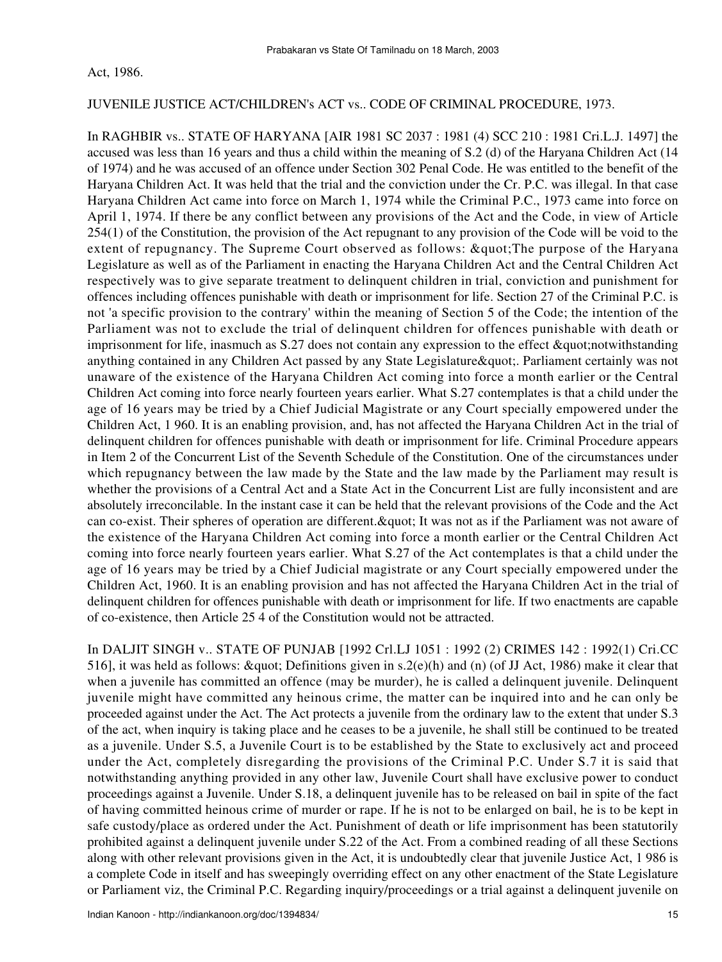## JUVENILE JUSTICE ACT/CHILDREN's ACT vs.. CODE OF CRIMINAL PROCEDURE, 1973.

In RAGHBIR vs.. STATE OF HARYANA [AIR 1981 SC 2037 : 1981 (4) SCC 210 : 1981 Cri.L.J. 1497] the accused was less than 16 years and thus a child within the meaning of S.2 (d) of the Haryana Children Act (14 of 1974) and he was accused of an offence under Section 302 Penal Code. He was entitled to the benefit of the Haryana Children Act. It was held that the trial and the conviction under the Cr. P.C. was illegal. In that case Haryana Children Act came into force on March 1, 1974 while the Criminal P.C., 1973 came into force on April 1, 1974. If there be any conflict between any provisions of the Act and the Code, in view of Article 254(1) of the Constitution, the provision of the Act repugnant to any provision of the Code will be void to the extent of repugnancy. The Supreme Court observed as follows: & quot; The purpose of the Haryana Legislature as well as of the Parliament in enacting the Haryana Children Act and the Central Children Act respectively was to give separate treatment to delinquent children in trial, conviction and punishment for offences including offences punishable with death or imprisonment for life. Section 27 of the Criminal P.C. is not 'a specific provision to the contrary' within the meaning of Section 5 of the Code; the intention of the Parliament was not to exclude the trial of delinquent children for offences punishable with death or imprisonment for life, inasmuch as S.27 does not contain any expression to the effect "notwithstanding anything contained in any Children Act passed by any State Legislature & quot;. Parliament certainly was not unaware of the existence of the Haryana Children Act coming into force a month earlier or the Central Children Act coming into force nearly fourteen years earlier. What S.27 contemplates is that a child under the age of 16 years may be tried by a Chief Judicial Magistrate or any Court specially empowered under the Children Act, 1 960. It is an enabling provision, and, has not affected the Haryana Children Act in the trial of delinquent children for offences punishable with death or imprisonment for life. Criminal Procedure appears in Item 2 of the Concurrent List of the Seventh Schedule of the Constitution. One of the circumstances under which repugnancy between the law made by the State and the law made by the Parliament may result is whether the provisions of a Central Act and a State Act in the Concurrent List are fully inconsistent and are absolutely irreconcilable. In the instant case it can be held that the relevant provisions of the Code and the Act can co-exist. Their spheres of operation are different. & quot; It was not as if the Parliament was not aware of the existence of the Haryana Children Act coming into force a month earlier or the Central Children Act coming into force nearly fourteen years earlier. What S.27 of the Act contemplates is that a child under the age of 16 years may be tried by a Chief Judicial magistrate or any Court specially empowered under the Children Act, 1960. It is an enabling provision and has not affected the Haryana Children Act in the trial of delinquent children for offences punishable with death or imprisonment for life. If two enactments are capable of co-existence, then Article 25 4 of the Constitution would not be attracted.

In DALJIT SINGH v.. STATE OF PUNJAB [1992 Crl.LJ 1051 : 1992 (2) CRIMES 142 : 1992(1) Cri.CC 516], it was held as follows:  $\&$ quot; Definitions given in s.2(e)(h) and (n) (of JJ Act, 1986) make it clear that when a juvenile has committed an offence (may be murder), he is called a delinquent juvenile. Delinquent juvenile might have committed any heinous crime, the matter can be inquired into and he can only be proceeded against under the Act. The Act protects a juvenile from the ordinary law to the extent that under S.3 of the act, when inquiry is taking place and he ceases to be a juvenile, he shall still be continued to be treated as a juvenile. Under S.5, a Juvenile Court is to be established by the State to exclusively act and proceed under the Act, completely disregarding the provisions of the Criminal P.C. Under S.7 it is said that notwithstanding anything provided in any other law, Juvenile Court shall have exclusive power to conduct proceedings against a Juvenile. Under S.18, a delinquent juvenile has to be released on bail in spite of the fact of having committed heinous crime of murder or rape. If he is not to be enlarged on bail, he is to be kept in safe custody/place as ordered under the Act. Punishment of death or life imprisonment has been statutorily prohibited against a delinquent juvenile under S.22 of the Act. From a combined reading of all these Sections along with other relevant provisions given in the Act, it is undoubtedly clear that juvenile Justice Act, 1 986 is a complete Code in itself and has sweepingly overriding effect on any other enactment of the State Legislature or Parliament viz, the Criminal P.C. Regarding inquiry/proceedings or a trial against a delinquent juvenile on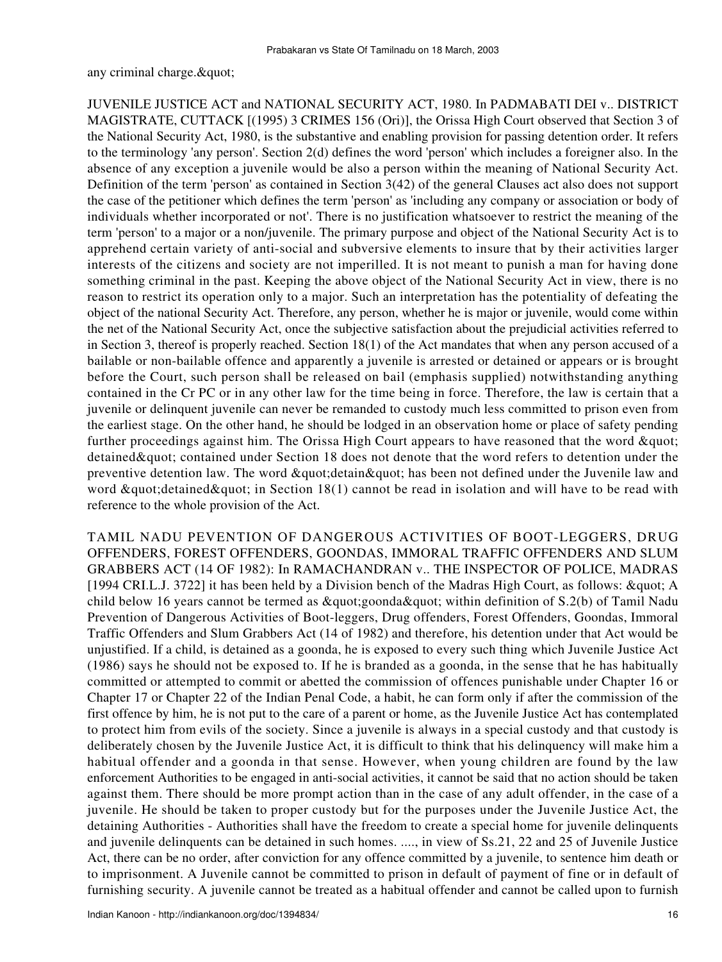any criminal charge. & quot;

JUVENILE JUSTICE ACT and NATIONAL SECURITY ACT, 1980. In PADMABATI DEI v.. DISTRICT MAGISTRATE, CUTTACK [(1995) 3 CRIMES 156 (Ori)], the Orissa High Court observed that Section 3 of the National Security Act, 1980, is the substantive and enabling provision for passing detention order. It refers to the terminology 'any person'. Section 2(d) defines the word 'person' which includes a foreigner also. In the absence of any exception a juvenile would be also a person within the meaning of National Security Act. Definition of the term 'person' as contained in Section 3(42) of the general Clauses act also does not support the case of the petitioner which defines the term 'person' as 'including any company or association or body of individuals whether incorporated or not'. There is no justification whatsoever to restrict the meaning of the term 'person' to a major or a non/juvenile. The primary purpose and object of the National Security Act is to apprehend certain variety of anti-social and subversive elements to insure that by their activities larger interests of the citizens and society are not imperilled. It is not meant to punish a man for having done something criminal in the past. Keeping the above object of the National Security Act in view, there is no reason to restrict its operation only to a major. Such an interpretation has the potentiality of defeating the object of the national Security Act. Therefore, any person, whether he is major or juvenile, would come within the net of the National Security Act, once the subjective satisfaction about the prejudicial activities referred to in Section 3, thereof is properly reached. Section 18(1) of the Act mandates that when any person accused of a bailable or non-bailable offence and apparently a juvenile is arrested or detained or appears or is brought before the Court, such person shall be released on bail (emphasis supplied) notwithstanding anything contained in the Cr PC or in any other law for the time being in force. Therefore, the law is certain that a juvenile or delinquent juvenile can never be remanded to custody much less committed to prison even from the earliest stage. On the other hand, he should be lodged in an observation home or place of safety pending further proceedings against him. The Orissa High Court appears to have reasoned that the word " detained & quot; contained under Section 18 does not denote that the word refers to detention under the preventive detention law. The word  $\&$  quot; detain $\&$  quot; has been not defined under the Juvenile law and word  $\&$ quot; detained $\&$ quot; in Section 18(1) cannot be read in isolation and will have to be read with reference to the whole provision of the Act.

TAMIL NADU PEVENTION OF DANGEROUS ACTIVITIES OF BOOT-LEGGERS, DRUG OFFENDERS, FOREST OFFENDERS, GOONDAS, IMMORAL TRAFFIC OFFENDERS AND SLUM GRABBERS ACT (14 OF 1982): In RAMACHANDRAN v.. THE INSPECTOR OF POLICE, MADRAS [1994 CRI.L.J. 3722] it has been held by a Division bench of the Madras High Court, as follows: " A child below 16 years cannot be termed as " goonda" within definition of S.2(b) of Tamil Nadu Prevention of Dangerous Activities of Boot-leggers, Drug offenders, Forest Offenders, Goondas, Immoral Traffic Offenders and Slum Grabbers Act (14 of 1982) and therefore, his detention under that Act would be unjustified. If a child, is detained as a goonda, he is exposed to every such thing which Juvenile Justice Act (1986) says he should not be exposed to. If he is branded as a goonda, in the sense that he has habitually committed or attempted to commit or abetted the commission of offences punishable under Chapter 16 or Chapter 17 or Chapter 22 of the Indian Penal Code, a habit, he can form only if after the commission of the first offence by him, he is not put to the care of a parent or home, as the Juvenile Justice Act has contemplated to protect him from evils of the society. Since a juvenile is always in a special custody and that custody is deliberately chosen by the Juvenile Justice Act, it is difficult to think that his delinquency will make him a habitual offender and a goonda in that sense. However, when young children are found by the law enforcement Authorities to be engaged in anti-social activities, it cannot be said that no action should be taken against them. There should be more prompt action than in the case of any adult offender, in the case of a juvenile. He should be taken to proper custody but for the purposes under the Juvenile Justice Act, the detaining Authorities - Authorities shall have the freedom to create a special home for juvenile delinquents and juvenile delinquents can be detained in such homes. ...., in view of Ss.21, 22 and 25 of Juvenile Justice Act, there can be no order, after conviction for any offence committed by a juvenile, to sentence him death or to imprisonment. A Juvenile cannot be committed to prison in default of payment of fine or in default of furnishing security. A juvenile cannot be treated as a habitual offender and cannot be called upon to furnish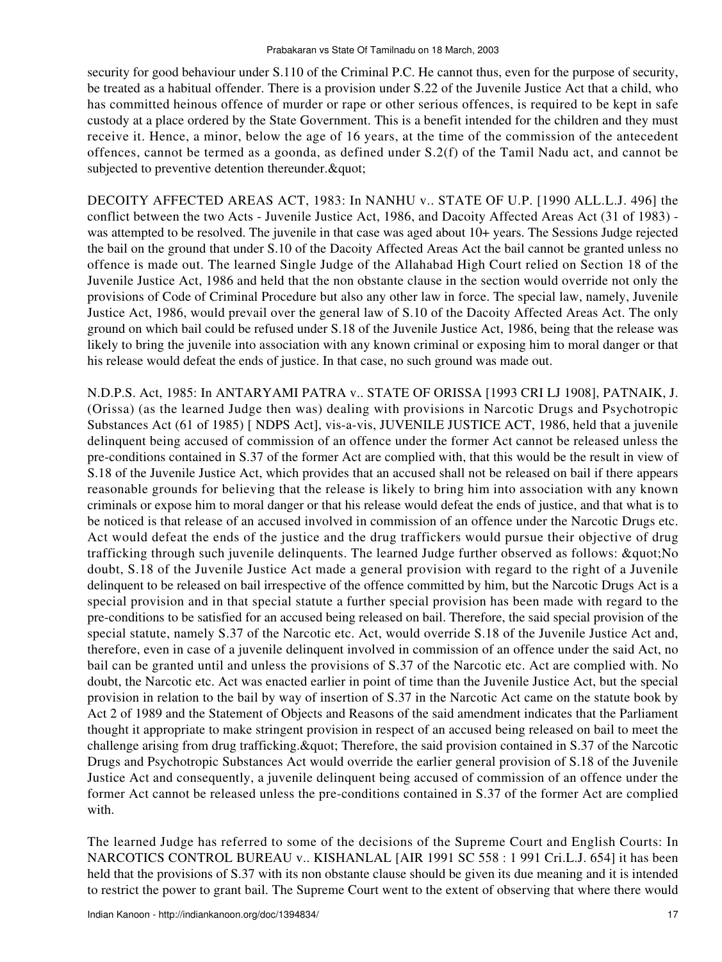security for good behaviour under S.110 of the Criminal P.C. He cannot thus, even for the purpose of security, be treated as a habitual offender. There is a provision under S.22 of the Juvenile Justice Act that a child, who has committed heinous offence of murder or rape or other serious offences, is required to be kept in safe custody at a place ordered by the State Government. This is a benefit intended for the children and they must receive it. Hence, a minor, below the age of 16 years, at the time of the commission of the antecedent offences, cannot be termed as a goonda, as defined under S.2(f) of the Tamil Nadu act, and cannot be subjected to preventive detention thereunder. & quot;

DECOITY AFFECTED AREAS ACT, 1983: In NANHU v.. STATE OF U.P. [1990 ALL.L.J. 496] the conflict between the two Acts - Juvenile Justice Act, 1986, and Dacoity Affected Areas Act (31 of 1983) was attempted to be resolved. The juvenile in that case was aged about 10+ years. The Sessions Judge rejected the bail on the ground that under S.10 of the Dacoity Affected Areas Act the bail cannot be granted unless no offence is made out. The learned Single Judge of the Allahabad High Court relied on Section 18 of the Juvenile Justice Act, 1986 and held that the non obstante clause in the section would override not only the provisions of Code of Criminal Procedure but also any other law in force. The special law, namely, Juvenile Justice Act, 1986, would prevail over the general law of S.10 of the Dacoity Affected Areas Act. The only ground on which bail could be refused under S.18 of the Juvenile Justice Act, 1986, being that the release was likely to bring the juvenile into association with any known criminal or exposing him to moral danger or that his release would defeat the ends of justice. In that case, no such ground was made out.

N.D.P.S. Act, 1985: In ANTARYAMI PATRA v.. STATE OF ORISSA [1993 CRI LJ 1908], PATNAIK, J. (Orissa) (as the learned Judge then was) dealing with provisions in Narcotic Drugs and Psychotropic Substances Act (61 of 1985) [ NDPS Act], vis-a-vis, JUVENILE JUSTICE ACT, 1986, held that a juvenile delinquent being accused of commission of an offence under the former Act cannot be released unless the pre-conditions contained in S.37 of the former Act are complied with, that this would be the result in view of S.18 of the Juvenile Justice Act, which provides that an accused shall not be released on bail if there appears reasonable grounds for believing that the release is likely to bring him into association with any known criminals or expose him to moral danger or that his release would defeat the ends of justice, and that what is to be noticed is that release of an accused involved in commission of an offence under the Narcotic Drugs etc. Act would defeat the ends of the justice and the drug traffickers would pursue their objective of drug trafficking through such juvenile delinquents. The learned Judge further observed as follows:  $\&$ quot; No doubt, S.18 of the Juvenile Justice Act made a general provision with regard to the right of a Juvenile delinquent to be released on bail irrespective of the offence committed by him, but the Narcotic Drugs Act is a special provision and in that special statute a further special provision has been made with regard to the pre-conditions to be satisfied for an accused being released on bail. Therefore, the said special provision of the special statute, namely S.37 of the Narcotic etc. Act, would override S.18 of the Juvenile Justice Act and, therefore, even in case of a juvenile delinquent involved in commission of an offence under the said Act, no bail can be granted until and unless the provisions of S.37 of the Narcotic etc. Act are complied with. No doubt, the Narcotic etc. Act was enacted earlier in point of time than the Juvenile Justice Act, but the special provision in relation to the bail by way of insertion of S.37 in the Narcotic Act came on the statute book by Act 2 of 1989 and the Statement of Objects and Reasons of the said amendment indicates that the Parliament thought it appropriate to make stringent provision in respect of an accused being released on bail to meet the challenge arising from drug trafficking. & quot; Therefore, the said provision contained in S.37 of the Narcotic Drugs and Psychotropic Substances Act would override the earlier general provision of S.18 of the Juvenile Justice Act and consequently, a juvenile delinquent being accused of commission of an offence under the former Act cannot be released unless the pre-conditions contained in S.37 of the former Act are complied with.

The learned Judge has referred to some of the decisions of the Supreme Court and English Courts: In NARCOTICS CONTROL BUREAU v.. KISHANLAL [AIR 1991 SC 558 : 1 991 Cri.L.J. 654] it has been held that the provisions of S.37 with its non obstante clause should be given its due meaning and it is intended to restrict the power to grant bail. The Supreme Court went to the extent of observing that where there would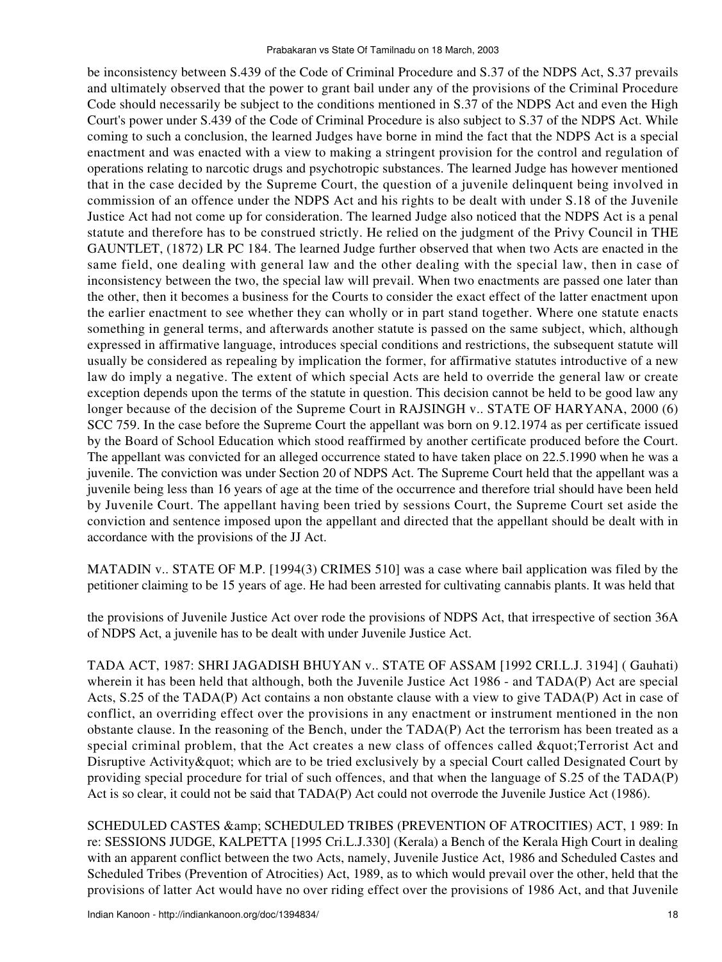be inconsistency between S.439 of the Code of Criminal Procedure and S.37 of the NDPS Act, S.37 prevails and ultimately observed that the power to grant bail under any of the provisions of the Criminal Procedure Code should necessarily be subject to the conditions mentioned in S.37 of the NDPS Act and even the High Court's power under S.439 of the Code of Criminal Procedure is also subject to S.37 of the NDPS Act. While coming to such a conclusion, the learned Judges have borne in mind the fact that the NDPS Act is a special enactment and was enacted with a view to making a stringent provision for the control and regulation of operations relating to narcotic drugs and psychotropic substances. The learned Judge has however mentioned that in the case decided by the Supreme Court, the question of a juvenile delinquent being involved in commission of an offence under the NDPS Act and his rights to be dealt with under S.18 of the Juvenile Justice Act had not come up for consideration. The learned Judge also noticed that the NDPS Act is a penal statute and therefore has to be construed strictly. He relied on the judgment of the Privy Council in THE GAUNTLET, (1872) LR PC 184. The learned Judge further observed that when two Acts are enacted in the same field, one dealing with general law and the other dealing with the special law, then in case of inconsistency between the two, the special law will prevail. When two enactments are passed one later than the other, then it becomes a business for the Courts to consider the exact effect of the latter enactment upon the earlier enactment to see whether they can wholly or in part stand together. Where one statute enacts something in general terms, and afterwards another statute is passed on the same subject, which, although expressed in affirmative language, introduces special conditions and restrictions, the subsequent statute will usually be considered as repealing by implication the former, for affirmative statutes introductive of a new law do imply a negative. The extent of which special Acts are held to override the general law or create exception depends upon the terms of the statute in question. This decision cannot be held to be good law any longer because of the decision of the Supreme Court in RAJSINGH v.. STATE OF HARYANA, 2000 (6) SCC 759. In the case before the Supreme Court the appellant was born on 9.12.1974 as per certificate issued by the Board of School Education which stood reaffirmed by another certificate produced before the Court. The appellant was convicted for an alleged occurrence stated to have taken place on 22.5.1990 when he was a juvenile. The conviction was under Section 20 of NDPS Act. The Supreme Court held that the appellant was a juvenile being less than 16 years of age at the time of the occurrence and therefore trial should have been held by Juvenile Court. The appellant having been tried by sessions Court, the Supreme Court set aside the conviction and sentence imposed upon the appellant and directed that the appellant should be dealt with in accordance with the provisions of the JJ Act.

MATADIN v.. STATE OF M.P. [1994(3) CRIMES 510] was a case where bail application was filed by the petitioner claiming to be 15 years of age. He had been arrested for cultivating cannabis plants. It was held that

the provisions of Juvenile Justice Act over rode the provisions of NDPS Act, that irrespective of section 36A of NDPS Act, a juvenile has to be dealt with under Juvenile Justice Act.

TADA ACT, 1987: SHRI JAGADISH BHUYAN v.. STATE OF ASSAM [1992 CRI.L.J. 3194] ( Gauhati) wherein it has been held that although, both the Juvenile Justice Act 1986 - and TADA(P) Act are special Acts, S.25 of the TADA(P) Act contains a non obstante clause with a view to give TADA(P) Act in case of conflict, an overriding effect over the provisions in any enactment or instrument mentioned in the non obstante clause. In the reasoning of the Bench, under the TADA(P) Act the terrorism has been treated as a special criminal problem, that the Act creates a new class of offences called " Terrorist Act and Disruptive Activity & quot; which are to be tried exclusively by a special Court called Designated Court by providing special procedure for trial of such offences, and that when the language of S.25 of the TADA(P) Act is so clear, it could not be said that TADA(P) Act could not overrode the Juvenile Justice Act (1986).

SCHEDULED CASTES & amp; SCHEDULED TRIBES (PREVENTION OF ATROCITIES) ACT, 1989: In re: SESSIONS JUDGE, KALPETTA [1995 Cri.L.J.330] (Kerala) a Bench of the Kerala High Court in dealing with an apparent conflict between the two Acts, namely, Juvenile Justice Act, 1986 and Scheduled Castes and Scheduled Tribes (Prevention of Atrocities) Act, 1989, as to which would prevail over the other, held that the provisions of latter Act would have no over riding effect over the provisions of 1986 Act, and that Juvenile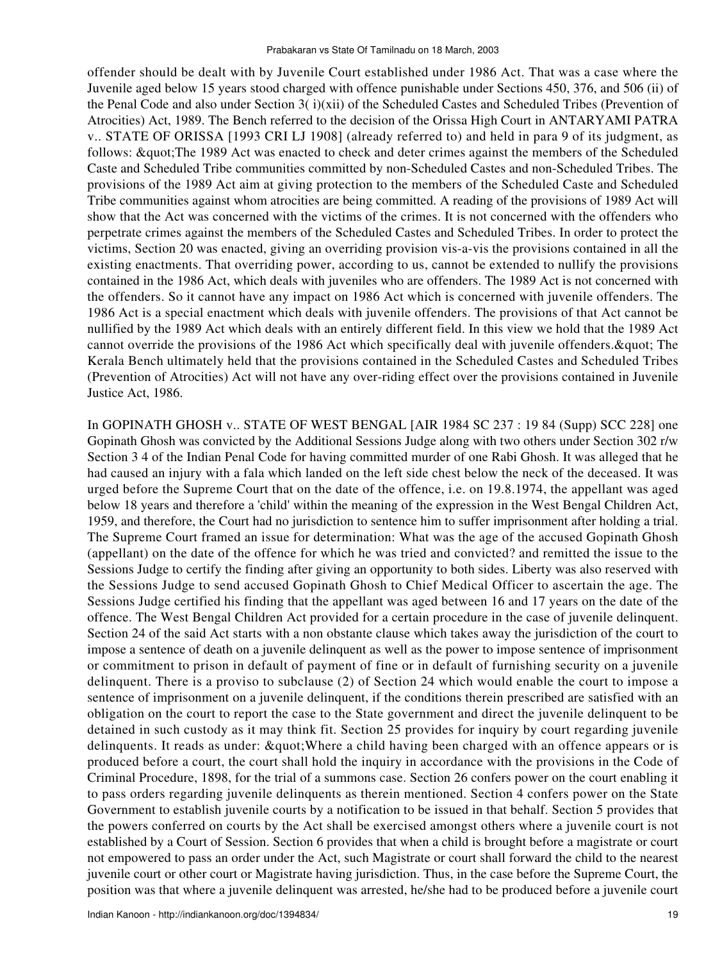offender should be dealt with by Juvenile Court established under 1986 Act. That was a case where the Juvenile aged below 15 years stood charged with offence punishable under Sections 450, 376, and 506 (ii) of the Penal Code and also under Section 3( i)(xii) of the Scheduled Castes and Scheduled Tribes (Prevention of Atrocities) Act, 1989. The Bench referred to the decision of the Orissa High Court in ANTARYAMI PATRA v.. STATE OF ORISSA [1993 CRI LJ 1908] (already referred to) and held in para 9 of its judgment, as follows: " The 1989 Act was enacted to check and deter crimes against the members of the Scheduled Caste and Scheduled Tribe communities committed by non-Scheduled Castes and non-Scheduled Tribes. The provisions of the 1989 Act aim at giving protection to the members of the Scheduled Caste and Scheduled Tribe communities against whom atrocities are being committed. A reading of the provisions of 1989 Act will show that the Act was concerned with the victims of the crimes. It is not concerned with the offenders who perpetrate crimes against the members of the Scheduled Castes and Scheduled Tribes. In order to protect the victims, Section 20 was enacted, giving an overriding provision vis-a-vis the provisions contained in all the existing enactments. That overriding power, according to us, cannot be extended to nullify the provisions contained in the 1986 Act, which deals with juveniles who are offenders. The 1989 Act is not concerned with the offenders. So it cannot have any impact on 1986 Act which is concerned with juvenile offenders. The 1986 Act is a special enactment which deals with juvenile offenders. The provisions of that Act cannot be nullified by the 1989 Act which deals with an entirely different field. In this view we hold that the 1989 Act cannot override the provisions of the 1986 Act which specifically deal with juvenile offenders. & quot; The Kerala Bench ultimately held that the provisions contained in the Scheduled Castes and Scheduled Tribes (Prevention of Atrocities) Act will not have any over-riding effect over the provisions contained in Juvenile Justice Act, 1986.

In GOPINATH GHOSH v.. STATE OF WEST BENGAL [AIR 1984 SC 237 : 19 84 (Supp) SCC 228] one Gopinath Ghosh was convicted by the Additional Sessions Judge along with two others under Section 302 r/w Section 3 4 of the Indian Penal Code for having committed murder of one Rabi Ghosh. It was alleged that he had caused an injury with a fala which landed on the left side chest below the neck of the deceased. It was urged before the Supreme Court that on the date of the offence, i.e. on 19.8.1974, the appellant was aged below 18 years and therefore a 'child' within the meaning of the expression in the West Bengal Children Act, 1959, and therefore, the Court had no jurisdiction to sentence him to suffer imprisonment after holding a trial. The Supreme Court framed an issue for determination: What was the age of the accused Gopinath Ghosh (appellant) on the date of the offence for which he was tried and convicted? and remitted the issue to the Sessions Judge to certify the finding after giving an opportunity to both sides. Liberty was also reserved with the Sessions Judge to send accused Gopinath Ghosh to Chief Medical Officer to ascertain the age. The Sessions Judge certified his finding that the appellant was aged between 16 and 17 years on the date of the offence. The West Bengal Children Act provided for a certain procedure in the case of juvenile delinquent. Section 24 of the said Act starts with a non obstante clause which takes away the jurisdiction of the court to impose a sentence of death on a juvenile delinquent as well as the power to impose sentence of imprisonment or commitment to prison in default of payment of fine or in default of furnishing security on a juvenile delinquent. There is a proviso to subclause (2) of Section 24 which would enable the court to impose a sentence of imprisonment on a juvenile delinquent, if the conditions therein prescribed are satisfied with an obligation on the court to report the case to the State government and direct the juvenile delinquent to be detained in such custody as it may think fit. Section 25 provides for inquiry by court regarding juvenile delinquents. It reads as under:  $\&$  quot; Where a child having been charged with an offence appears or is produced before a court, the court shall hold the inquiry in accordance with the provisions in the Code of Criminal Procedure, 1898, for the trial of a summons case. Section 26 confers power on the court enabling it to pass orders regarding juvenile delinquents as therein mentioned. Section 4 confers power on the State Government to establish juvenile courts by a notification to be issued in that behalf. Section 5 provides that the powers conferred on courts by the Act shall be exercised amongst others where a juvenile court is not established by a Court of Session. Section 6 provides that when a child is brought before a magistrate or court not empowered to pass an order under the Act, such Magistrate or court shall forward the child to the nearest juvenile court or other court or Magistrate having jurisdiction. Thus, in the case before the Supreme Court, the position was that where a juvenile delinquent was arrested, he/she had to be produced before a juvenile court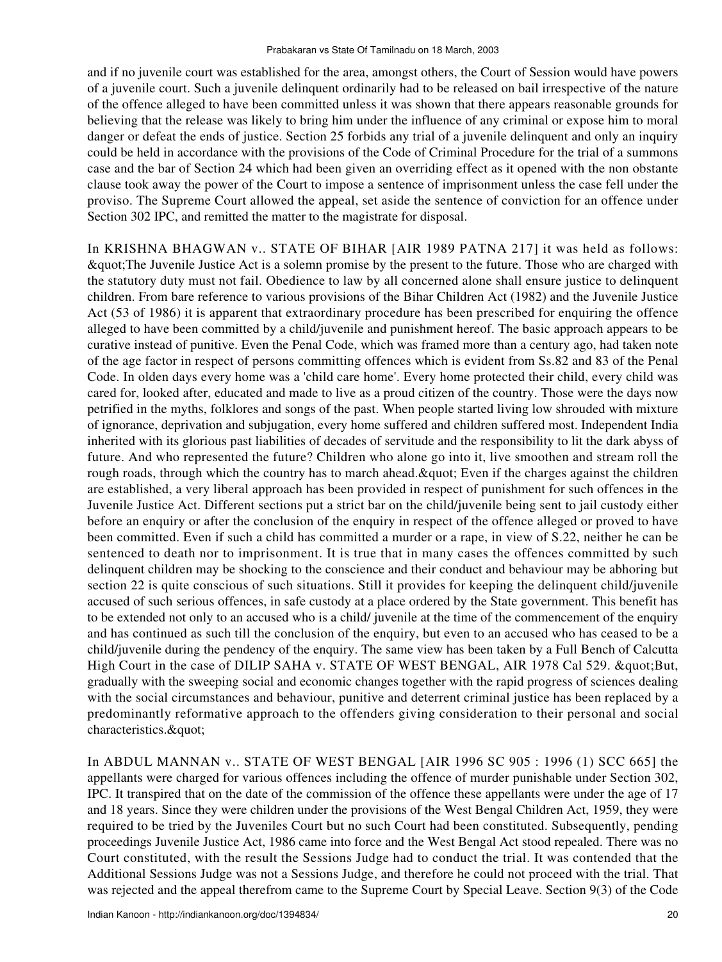and if no juvenile court was established for the area, amongst others, the Court of Session would have powers of a juvenile court. Such a juvenile delinquent ordinarily had to be released on bail irrespective of the nature of the offence alleged to have been committed unless it was shown that there appears reasonable grounds for believing that the release was likely to bring him under the influence of any criminal or expose him to moral danger or defeat the ends of justice. Section 25 forbids any trial of a juvenile delinquent and only an inquiry could be held in accordance with the provisions of the Code of Criminal Procedure for the trial of a summons case and the bar of Section 24 which had been given an overriding effect as it opened with the non obstante clause took away the power of the Court to impose a sentence of imprisonment unless the case fell under the proviso. The Supreme Court allowed the appeal, set aside the sentence of conviction for an offence under Section 302 IPC, and remitted the matter to the magistrate for disposal.

In KRISHNA BHAGWAN v.. STATE OF BIHAR [AIR 1989 PATNA 217] it was held as follows: "The Juvenile Justice Act is a solemn promise by the present to the future. Those who are charged with the statutory duty must not fail. Obedience to law by all concerned alone shall ensure justice to delinquent children. From bare reference to various provisions of the Bihar Children Act (1982) and the Juvenile Justice Act (53 of 1986) it is apparent that extraordinary procedure has been prescribed for enquiring the offence alleged to have been committed by a child/juvenile and punishment hereof. The basic approach appears to be curative instead of punitive. Even the Penal Code, which was framed more than a century ago, had taken note of the age factor in respect of persons committing offences which is evident from Ss.82 and 83 of the Penal Code. In olden days every home was a 'child care home'. Every home protected their child, every child was cared for, looked after, educated and made to live as a proud citizen of the country. Those were the days now petrified in the myths, folklores and songs of the past. When people started living low shrouded with mixture of ignorance, deprivation and subjugation, every home suffered and children suffered most. Independent India inherited with its glorious past liabilities of decades of servitude and the responsibility to lit the dark abyss of future. And who represented the future? Children who alone go into it, live smoothen and stream roll the rough roads, through which the country has to march ahead.  $\&$  quot; Even if the charges against the children are established, a very liberal approach has been provided in respect of punishment for such offences in the Juvenile Justice Act. Different sections put a strict bar on the child/juvenile being sent to jail custody either before an enquiry or after the conclusion of the enquiry in respect of the offence alleged or proved to have been committed. Even if such a child has committed a murder or a rape, in view of S.22, neither he can be sentenced to death nor to imprisonment. It is true that in many cases the offences committed by such delinquent children may be shocking to the conscience and their conduct and behaviour may be abhoring but section 22 is quite conscious of such situations. Still it provides for keeping the delinquent child/juvenile accused of such serious offences, in safe custody at a place ordered by the State government. This benefit has to be extended not only to an accused who is a child/ juvenile at the time of the commencement of the enquiry and has continued as such till the conclusion of the enquiry, but even to an accused who has ceased to be a child/juvenile during the pendency of the enquiry. The same view has been taken by a Full Bench of Calcutta High Court in the case of DILIP SAHA v. STATE OF WEST BENGAL, AIR 1978 Cal 529. "But, gradually with the sweeping social and economic changes together with the rapid progress of sciences dealing with the social circumstances and behaviour, punitive and deterrent criminal justice has been replaced by a predominantly reformative approach to the offenders giving consideration to their personal and social characteristics. & quot;

In ABDUL MANNAN v.. STATE OF WEST BENGAL [AIR 1996 SC 905 : 1996 (1) SCC 665] the appellants were charged for various offences including the offence of murder punishable under Section 302, IPC. It transpired that on the date of the commission of the offence these appellants were under the age of 17 and 18 years. Since they were children under the provisions of the West Bengal Children Act, 1959, they were required to be tried by the Juveniles Court but no such Court had been constituted. Subsequently, pending proceedings Juvenile Justice Act, 1986 came into force and the West Bengal Act stood repealed. There was no Court constituted, with the result the Sessions Judge had to conduct the trial. It was contended that the Additional Sessions Judge was not a Sessions Judge, and therefore he could not proceed with the trial. That was rejected and the appeal therefrom came to the Supreme Court by Special Leave. Section 9(3) of the Code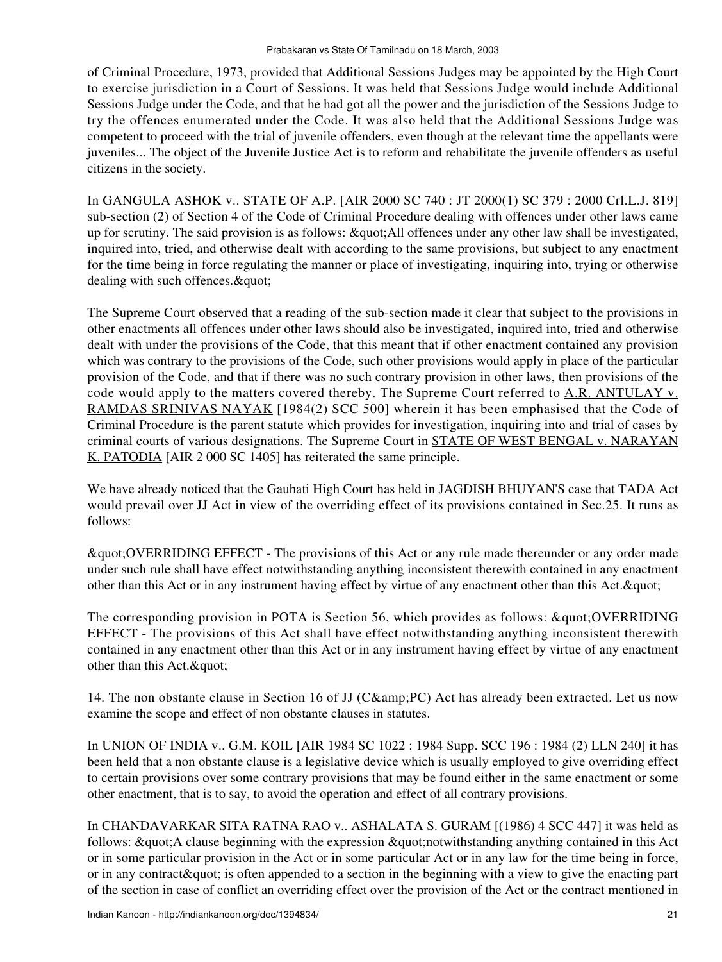of Criminal Procedure, 1973, provided that Additional Sessions Judges may be appointed by the High Court to exercise jurisdiction in a Court of Sessions. It was held that Sessions Judge would include Additional Sessions Judge under the Code, and that he had got all the power and the jurisdiction of the Sessions Judge to try the offences enumerated under the Code. It was also held that the Additional Sessions Judge was competent to proceed with the trial of juvenile offenders, even though at the relevant time the appellants were juveniles... The object of the Juvenile Justice Act is to reform and rehabilitate the juvenile offenders as useful citizens in the society.

In GANGULA ASHOK v.. STATE OF A.P. [AIR 2000 SC 740 : JT 2000(1) SC 379 : 2000 Crl.L.J. 819] sub-section (2) of Section 4 of the Code of Criminal Procedure dealing with offences under other laws came up for scrutiny. The said provision is as follows: "All offences under any other law shall be investigated, inquired into, tried, and otherwise dealt with according to the same provisions, but subject to any enactment for the time being in force regulating the manner or place of investigating, inquiring into, trying or otherwise dealing with such offences. & quot;

The Supreme Court observed that a reading of the sub-section made it clear that subject to the provisions in other enactments all offences under other laws should also be investigated, inquired into, tried and otherwise dealt with under the provisions of the Code, that this meant that if other enactment contained any provision which was contrary to the provisions of the Code, such other provisions would apply in place of the particular provision of the Code, and that if there was no such contrary provision in other laws, then provisions of the code would apply to the matters covered thereby. The Supreme Court referred to A.R. ANTULAY v. RAMDAS SRINIVAS NAYAK [1984(2) SCC 500] wherein it has been emphasised that the Code of Criminal Procedure is the parent statute which provides for investigation, inquiring into and trial of cases by criminal courts of various designations. The Supreme Court in STATE OF WEST BENGAL v. NARAYAN K. PATODIA [AIR 2 000 SC 1405] has reiterated the same principle.

We have already noticed that the Gauhati High Court has held in JAGDISH BHUYAN'S case that TADA Act would prevail over JJ Act in view of the overriding effect of its provisions contained in Sec.25. It runs as follows:

"OVERRIDING EFFECT - The provisions of this Act or any rule made thereunder or any order made under such rule shall have effect notwithstanding anything inconsistent therewith contained in any enactment other than this Act or in any instrument having effect by virtue of any enactment other than this Act. & quot;

The corresponding provision in POTA is Section 56, which provides as follows: " OVERRIDING EFFECT - The provisions of this Act shall have effect notwithstanding anything inconsistent therewith contained in any enactment other than this Act or in any instrument having effect by virtue of any enactment other than this Act. & quot;

14. The non obstante clause in Section 16 of JJ (C&PC) Act has already been extracted. Let us now examine the scope and effect of non obstante clauses in statutes.

In UNION OF INDIA v.. G.M. KOIL [AIR 1984 SC 1022 : 1984 Supp. SCC 196 : 1984 (2) LLN 240] it has been held that a non obstante clause is a legislative device which is usually employed to give overriding effect to certain provisions over some contrary provisions that may be found either in the same enactment or some other enactment, that is to say, to avoid the operation and effect of all contrary provisions.

In CHANDAVARKAR SITA RATNA RAO v.. ASHALATA S. GURAM [(1986) 4 SCC 447] it was held as follows: " A clause beginning with the expression " notwithstanding anything contained in this Act or in some particular provision in the Act or in some particular Act or in any law for the time being in force, or in any contract & quot; is often appended to a section in the beginning with a view to give the enacting part of the section in case of conflict an overriding effect over the provision of the Act or the contract mentioned in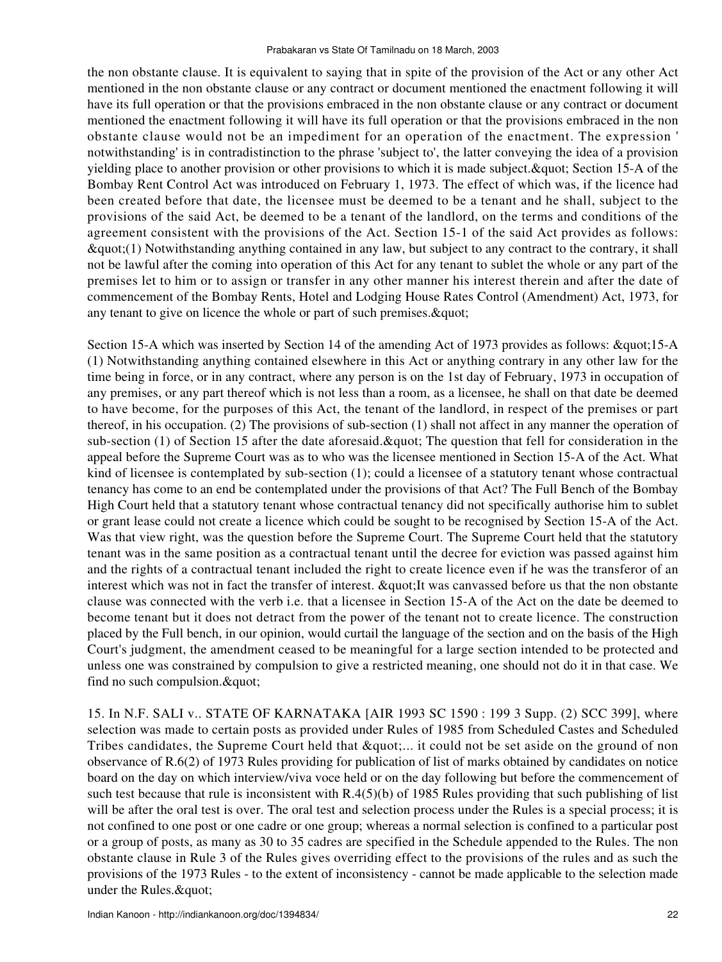the non obstante clause. It is equivalent to saying that in spite of the provision of the Act or any other Act mentioned in the non obstante clause or any contract or document mentioned the enactment following it will have its full operation or that the provisions embraced in the non obstante clause or any contract or document mentioned the enactment following it will have its full operation or that the provisions embraced in the non obstante clause would not be an impediment for an operation of the enactment. The expression ' notwithstanding' is in contradistinction to the phrase 'subject to', the latter conveying the idea of a provision yielding place to another provision or other provisions to which it is made subject. & quot; Section 15-A of the Bombay Rent Control Act was introduced on February 1, 1973. The effect of which was, if the licence had been created before that date, the licensee must be deemed to be a tenant and he shall, subject to the provisions of the said Act, be deemed to be a tenant of the landlord, on the terms and conditions of the agreement consistent with the provisions of the Act. Section 15-1 of the said Act provides as follows:  $\&$ quot;(1) Notwithstanding anything contained in any law, but subject to any contract to the contrary, it shall not be lawful after the coming into operation of this Act for any tenant to sublet the whole or any part of the premises let to him or to assign or transfer in any other manner his interest therein and after the date of commencement of the Bombay Rents, Hotel and Lodging House Rates Control (Amendment) Act, 1973, for any tenant to give on licence the whole or part of such premises. & quot;

Section 15-A which was inserted by Section 14 of the amending Act of 1973 provides as follows: "15-A (1) Notwithstanding anything contained elsewhere in this Act or anything contrary in any other law for the time being in force, or in any contract, where any person is on the 1st day of February, 1973 in occupation of any premises, or any part thereof which is not less than a room, as a licensee, he shall on that date be deemed to have become, for the purposes of this Act, the tenant of the landlord, in respect of the premises or part thereof, in his occupation. (2) The provisions of sub-section (1) shall not affect in any manner the operation of sub-section (1) of Section 15 after the date aforesaid. & quot; The question that fell for consideration in the appeal before the Supreme Court was as to who was the licensee mentioned in Section 15-A of the Act. What kind of licensee is contemplated by sub-section (1); could a licensee of a statutory tenant whose contractual tenancy has come to an end be contemplated under the provisions of that Act? The Full Bench of the Bombay High Court held that a statutory tenant whose contractual tenancy did not specifically authorise him to sublet or grant lease could not create a licence which could be sought to be recognised by Section 15-A of the Act. Was that view right, was the question before the Supreme Court. The Supreme Court held that the statutory tenant was in the same position as a contractual tenant until the decree for eviction was passed against him and the rights of a contractual tenant included the right to create licence even if he was the transferor of an interest which was not in fact the transfer of interest. & quot; It was canvassed before us that the non obstante clause was connected with the verb i.e. that a licensee in Section 15-A of the Act on the date be deemed to become tenant but it does not detract from the power of the tenant not to create licence. The construction placed by the Full bench, in our opinion, would curtail the language of the section and on the basis of the High Court's judgment, the amendment ceased to be meaningful for a large section intended to be protected and unless one was constrained by compulsion to give a restricted meaning, one should not do it in that case. We find no such compulsion. & quot;

15. In N.F. SALI v.. STATE OF KARNATAKA [AIR 1993 SC 1590 : 199 3 Supp. (2) SCC 399], where selection was made to certain posts as provided under Rules of 1985 from Scheduled Castes and Scheduled Tribes candidates, the Supreme Court held that  $\&$  quot;... it could not be set aside on the ground of non observance of R.6(2) of 1973 Rules providing for publication of list of marks obtained by candidates on notice board on the day on which interview/viva voce held or on the day following but before the commencement of such test because that rule is inconsistent with R.4(5)(b) of 1985 Rules providing that such publishing of list will be after the oral test is over. The oral test and selection process under the Rules is a special process; it is not confined to one post or one cadre or one group; whereas a normal selection is confined to a particular post or a group of posts, as many as 30 to 35 cadres are specified in the Schedule appended to the Rules. The non obstante clause in Rule 3 of the Rules gives overriding effect to the provisions of the rules and as such the provisions of the 1973 Rules - to the extent of inconsistency - cannot be made applicable to the selection made under the Rules. & quot;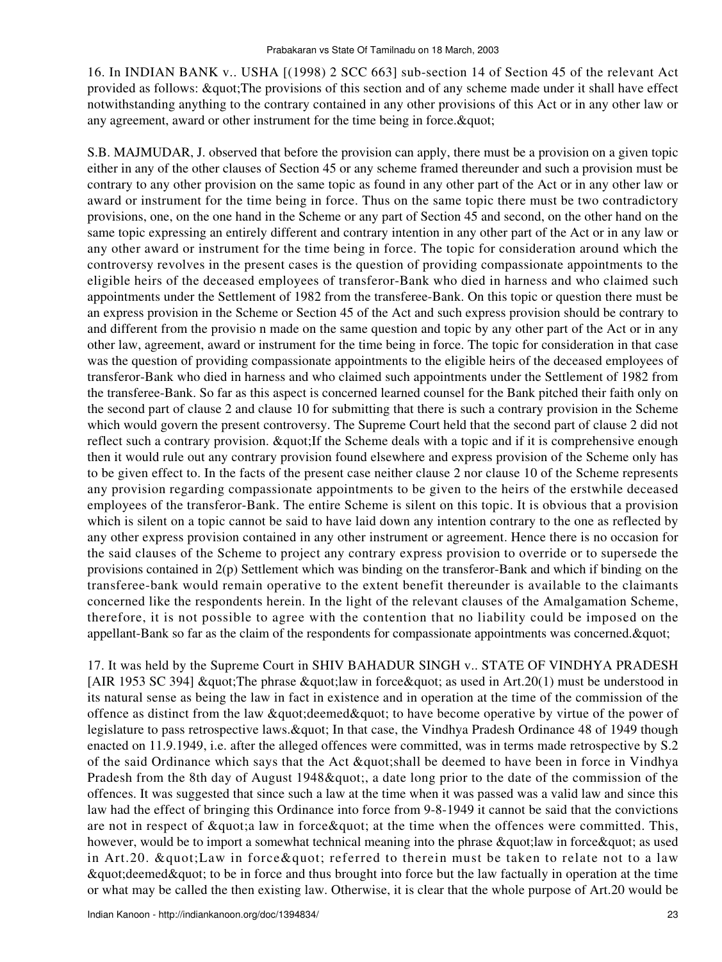16. In INDIAN BANK v.. USHA [(1998) 2 SCC 663] sub-section 14 of Section 45 of the relevant Act provided as follows: " The provisions of this section and of any scheme made under it shall have effect notwithstanding anything to the contrary contained in any other provisions of this Act or in any other law or any agreement, award or other instrument for the time being in force. & quot;

S.B. MAJMUDAR, J. observed that before the provision can apply, there must be a provision on a given topic either in any of the other clauses of Section 45 or any scheme framed thereunder and such a provision must be contrary to any other provision on the same topic as found in any other part of the Act or in any other law or award or instrument for the time being in force. Thus on the same topic there must be two contradictory provisions, one, on the one hand in the Scheme or any part of Section 45 and second, on the other hand on the same topic expressing an entirely different and contrary intention in any other part of the Act or in any law or any other award or instrument for the time being in force. The topic for consideration around which the controversy revolves in the present cases is the question of providing compassionate appointments to the eligible heirs of the deceased employees of transferor-Bank who died in harness and who claimed such appointments under the Settlement of 1982 from the transferee-Bank. On this topic or question there must be an express provision in the Scheme or Section 45 of the Act and such express provision should be contrary to and different from the provisio n made on the same question and topic by any other part of the Act or in any other law, agreement, award or instrument for the time being in force. The topic for consideration in that case was the question of providing compassionate appointments to the eligible heirs of the deceased employees of transferor-Bank who died in harness and who claimed such appointments under the Settlement of 1982 from the transferee-Bank. So far as this aspect is concerned learned counsel for the Bank pitched their faith only on the second part of clause 2 and clause 10 for submitting that there is such a contrary provision in the Scheme which would govern the present controversy. The Supreme Court held that the second part of clause 2 did not reflect such a contrary provision. " If the Scheme deals with a topic and if it is comprehensive enough then it would rule out any contrary provision found elsewhere and express provision of the Scheme only has to be given effect to. In the facts of the present case neither clause 2 nor clause 10 of the Scheme represents any provision regarding compassionate appointments to be given to the heirs of the erstwhile deceased employees of the transferor-Bank. The entire Scheme is silent on this topic. It is obvious that a provision which is silent on a topic cannot be said to have laid down any intention contrary to the one as reflected by any other express provision contained in any other instrument or agreement. Hence there is no occasion for the said clauses of the Scheme to project any contrary express provision to override or to supersede the provisions contained in 2(p) Settlement which was binding on the transferor-Bank and which if binding on the transferee-bank would remain operative to the extent benefit thereunder is available to the claimants concerned like the respondents herein. In the light of the relevant clauses of the Amalgamation Scheme, therefore, it is not possible to agree with the contention that no liability could be imposed on the appellant-Bank so far as the claim of the respondents for compassionate appointments was concerned. & quot;

17. It was held by the Supreme Court in SHIV BAHADUR SINGH v.. STATE OF VINDHYA PRADESH [AIR 1953 SC 394] " The phrase " law in force " as used in Art.  $20(1)$  must be understood in its natural sense as being the law in fact in existence and in operation at the time of the commission of the offence as distinct from the law  $\&$ quot; deemed $\&$ quot; to have become operative by virtue of the power of legislature to pass retrospective laws. & quot; In that case, the Vindhya Pradesh Ordinance 48 of 1949 though enacted on 11.9.1949, i.e. after the alleged offences were committed, was in terms made retrospective by S.2 of the said Ordinance which says that the Act " shall be deemed to have been in force in Vindhya Pradesh from the 8th day of August 1948", a date long prior to the date of the commission of the offences. It was suggested that since such a law at the time when it was passed was a valid law and since this law had the effect of bringing this Ordinance into force from 9-8-1949 it cannot be said that the convictions are not in respect of  $\&$ quot; a law in force $\&$ quot; at the time when the offences were committed. This, however, would be to import a somewhat technical meaning into the phrase " law in force" as used in Art.20.  $\&$ quot;Law in force $\&$ quot; referred to therein must be taken to relate not to a law  $\&$ quot; deemed $\&$ quot; to be in force and thus brought into force but the law factually in operation at the time or what may be called the then existing law. Otherwise, it is clear that the whole purpose of Art.20 would be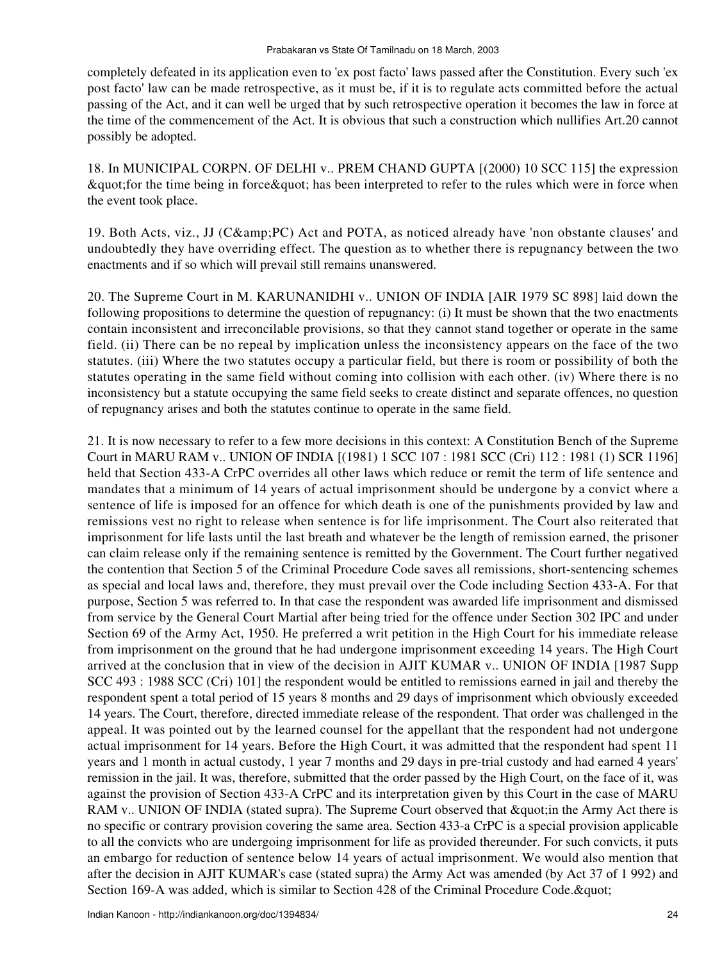completely defeated in its application even to 'ex post facto' laws passed after the Constitution. Every such 'ex post facto' law can be made retrospective, as it must be, if it is to regulate acts committed before the actual passing of the Act, and it can well be urged that by such retrospective operation it becomes the law in force at the time of the commencement of the Act. It is obvious that such a construction which nullifies Art.20 cannot possibly be adopted.

18. In MUNICIPAL CORPN. OF DELHI v.. PREM CHAND GUPTA [(2000) 10 SCC 115] the expression " for the time being in force " has been interpreted to refer to the rules which were in force when the event took place.

19. Both Acts, viz., JJ (C&PC) Act and POTA, as noticed already have 'non obstante clauses' and undoubtedly they have overriding effect. The question as to whether there is repugnancy between the two enactments and if so which will prevail still remains unanswered.

20. The Supreme Court in M. KARUNANIDHI v.. UNION OF INDIA [AIR 1979 SC 898] laid down the following propositions to determine the question of repugnancy: (i) It must be shown that the two enactments contain inconsistent and irreconcilable provisions, so that they cannot stand together or operate in the same field. (ii) There can be no repeal by implication unless the inconsistency appears on the face of the two statutes. (iii) Where the two statutes occupy a particular field, but there is room or possibility of both the statutes operating in the same field without coming into collision with each other. (iv) Where there is no inconsistency but a statute occupying the same field seeks to create distinct and separate offences, no question of repugnancy arises and both the statutes continue to operate in the same field.

21. It is now necessary to refer to a few more decisions in this context: A Constitution Bench of the Supreme Court in MARU RAM v.. UNION OF INDIA [(1981) 1 SCC 107 : 1981 SCC (Cri) 112 : 1981 (1) SCR 1196] held that Section 433-A CrPC overrides all other laws which reduce or remit the term of life sentence and mandates that a minimum of 14 years of actual imprisonment should be undergone by a convict where a sentence of life is imposed for an offence for which death is one of the punishments provided by law and remissions vest no right to release when sentence is for life imprisonment. The Court also reiterated that imprisonment for life lasts until the last breath and whatever be the length of remission earned, the prisoner can claim release only if the remaining sentence is remitted by the Government. The Court further negatived the contention that Section 5 of the Criminal Procedure Code saves all remissions, short-sentencing schemes as special and local laws and, therefore, they must prevail over the Code including Section 433-A. For that purpose, Section 5 was referred to. In that case the respondent was awarded life imprisonment and dismissed from service by the General Court Martial after being tried for the offence under Section 302 IPC and under Section 69 of the Army Act, 1950. He preferred a writ petition in the High Court for his immediate release from imprisonment on the ground that he had undergone imprisonment exceeding 14 years. The High Court arrived at the conclusion that in view of the decision in AJIT KUMAR v.. UNION OF INDIA [1987 Supp SCC 493 : 1988 SCC (Cri) 101] the respondent would be entitled to remissions earned in jail and thereby the respondent spent a total period of 15 years 8 months and 29 days of imprisonment which obviously exceeded 14 years. The Court, therefore, directed immediate release of the respondent. That order was challenged in the appeal. It was pointed out by the learned counsel for the appellant that the respondent had not undergone actual imprisonment for 14 years. Before the High Court, it was admitted that the respondent had spent 11 years and 1 month in actual custody, 1 year 7 months and 29 days in pre-trial custody and had earned 4 years' remission in the jail. It was, therefore, submitted that the order passed by the High Court, on the face of it, was against the provision of Section 433-A CrPC and its interpretation given by this Court in the case of MARU RAM v.. UNION OF INDIA (stated supra). The Supreme Court observed that " in the Army Act there is no specific or contrary provision covering the same area. Section 433-a CrPC is a special provision applicable to all the convicts who are undergoing imprisonment for life as provided thereunder. For such convicts, it puts an embargo for reduction of sentence below 14 years of actual imprisonment. We would also mention that after the decision in AJIT KUMAR's case (stated supra) the Army Act was amended (by Act 37 of 1 992) and Section 169-A was added, which is similar to Section 428 of the Criminal Procedure Code. & quot;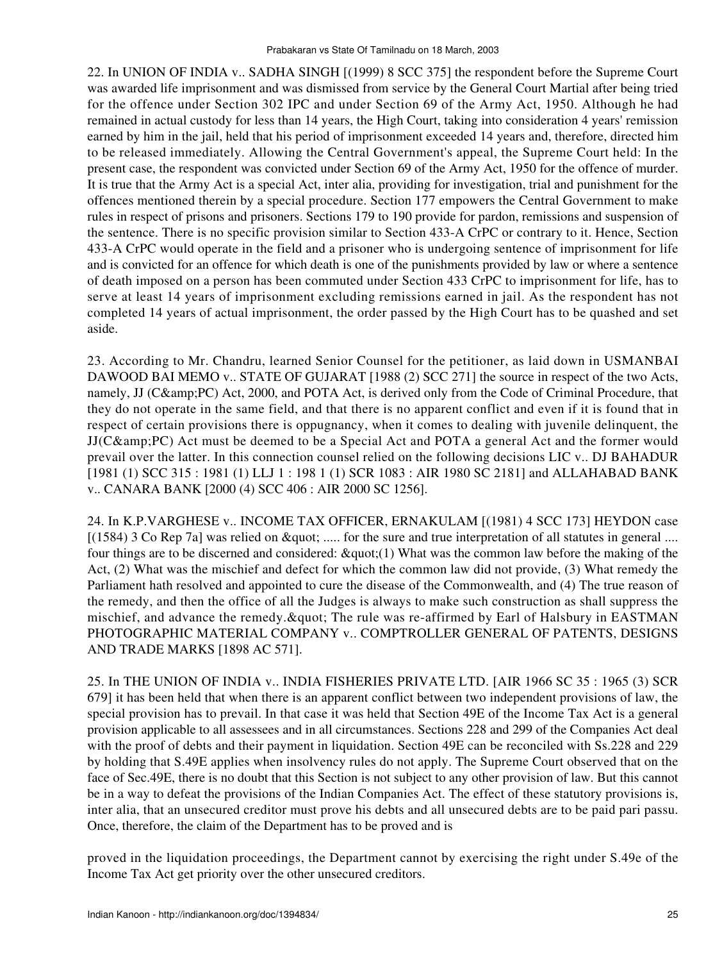22. In UNION OF INDIA v.. SADHA SINGH [(1999) 8 SCC 375] the respondent before the Supreme Court was awarded life imprisonment and was dismissed from service by the General Court Martial after being tried for the offence under Section 302 IPC and under Section 69 of the Army Act, 1950. Although he had remained in actual custody for less than 14 years, the High Court, taking into consideration 4 years' remission earned by him in the jail, held that his period of imprisonment exceeded 14 years and, therefore, directed him to be released immediately. Allowing the Central Government's appeal, the Supreme Court held: In the present case, the respondent was convicted under Section 69 of the Army Act, 1950 for the offence of murder. It is true that the Army Act is a special Act, inter alia, providing for investigation, trial and punishment for the offences mentioned therein by a special procedure. Section 177 empowers the Central Government to make rules in respect of prisons and prisoners. Sections 179 to 190 provide for pardon, remissions and suspension of the sentence. There is no specific provision similar to Section 433-A CrPC or contrary to it. Hence, Section 433-A CrPC would operate in the field and a prisoner who is undergoing sentence of imprisonment for life and is convicted for an offence for which death is one of the punishments provided by law or where a sentence of death imposed on a person has been commuted under Section 433 CrPC to imprisonment for life, has to serve at least 14 years of imprisonment excluding remissions earned in jail. As the respondent has not completed 14 years of actual imprisonment, the order passed by the High Court has to be quashed and set aside.

23. According to Mr. Chandru, learned Senior Counsel for the petitioner, as laid down in USMANBAI DAWOOD BAI MEMO v.. STATE OF GUJARAT [1988 (2) SCC 271] the source in respect of the two Acts, namely, JJ (C&PC) Act, 2000, and POTA Act, is derived only from the Code of Criminal Procedure, that they do not operate in the same field, and that there is no apparent conflict and even if it is found that in respect of certain provisions there is oppugnancy, when it comes to dealing with juvenile delinquent, the JJ(C&PC) Act must be deemed to be a Special Act and POTA a general Act and the former would prevail over the latter. In this connection counsel relied on the following decisions LIC v.. DJ BAHADUR [1981 (1) SCC 315 : 1981 (1) LLJ 1 : 198 1 (1) SCR 1083 : AIR 1980 SC 2181] and ALLAHABAD BANK v.. CANARA BANK [2000 (4) SCC 406 : AIR 2000 SC 1256].

24. In K.P.VARGHESE v.. INCOME TAX OFFICER, ERNAKULAM [(1981) 4 SCC 173] HEYDON case  $[(1584)$  3 Co Rep 7a] was relied on  $\&$  approximation  $\&$  sure and true interpretation of all statutes in general .... four things are to be discerned and considered:  $\&$ quot; $(1)$  What was the common law before the making of the Act, (2) What was the mischief and defect for which the common law did not provide, (3) What remedy the Parliament hath resolved and appointed to cure the disease of the Commonwealth, and (4) The true reason of the remedy, and then the office of all the Judges is always to make such construction as shall suppress the mischief, and advance the remedy. & quot; The rule was re-affirmed by Earl of Halsbury in EASTMAN PHOTOGRAPHIC MATERIAL COMPANY v.. COMPTROLLER GENERAL OF PATENTS, DESIGNS AND TRADE MARKS [1898 AC 571].

25. In THE UNION OF INDIA v.. INDIA FISHERIES PRIVATE LTD. [AIR 1966 SC 35 : 1965 (3) SCR 679] it has been held that when there is an apparent conflict between two independent provisions of law, the special provision has to prevail. In that case it was held that Section 49E of the Income Tax Act is a general provision applicable to all assessees and in all circumstances. Sections 228 and 299 of the Companies Act deal with the proof of debts and their payment in liquidation. Section 49E can be reconciled with Ss.228 and 229 by holding that S.49E applies when insolvency rules do not apply. The Supreme Court observed that on the face of Sec.49E, there is no doubt that this Section is not subject to any other provision of law. But this cannot be in a way to defeat the provisions of the Indian Companies Act. The effect of these statutory provisions is, inter alia, that an unsecured creditor must prove his debts and all unsecured debts are to be paid pari passu. Once, therefore, the claim of the Department has to be proved and is

proved in the liquidation proceedings, the Department cannot by exercising the right under S.49e of the Income Tax Act get priority over the other unsecured creditors.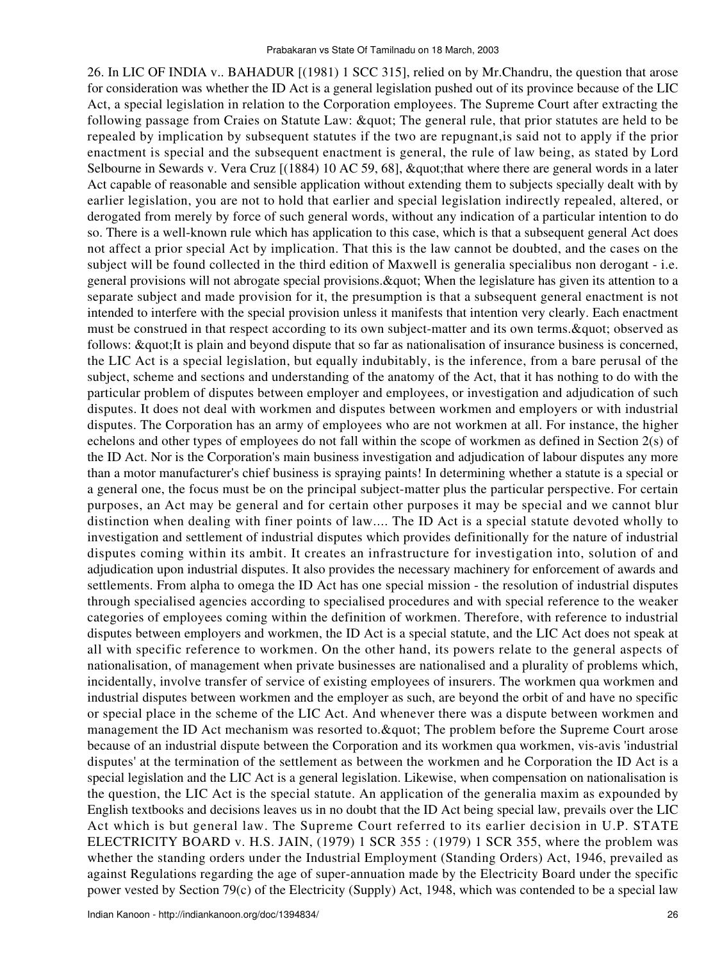26. In LIC OF INDIA v.. BAHADUR [(1981) 1 SCC 315], relied on by Mr.Chandru, the question that arose for consideration was whether the ID Act is a general legislation pushed out of its province because of the LIC Act, a special legislation in relation to the Corporation employees. The Supreme Court after extracting the following passage from Craies on Statute Law: " The general rule, that prior statutes are held to be repealed by implication by subsequent statutes if the two are repugnant,is said not to apply if the prior enactment is special and the subsequent enactment is general, the rule of law being, as stated by Lord Selbourne in Sewards v. Vera Cruz [(1884) 10 AC 59, 68], " that where there are general words in a later Act capable of reasonable and sensible application without extending them to subjects specially dealt with by earlier legislation, you are not to hold that earlier and special legislation indirectly repealed, altered, or derogated from merely by force of such general words, without any indication of a particular intention to do so. There is a well-known rule which has application to this case, which is that a subsequent general Act does not affect a prior special Act by implication. That this is the law cannot be doubted, and the cases on the subject will be found collected in the third edition of Maxwell is generalia specialibus non derogant - i.e. general provisions will not abrogate special provisions. & quot; When the legislature has given its attention to a separate subject and made provision for it, the presumption is that a subsequent general enactment is not intended to interfere with the special provision unless it manifests that intention very clearly. Each enactment must be construed in that respect according to its own subject-matter and its own terms. & quot; observed as follows: " It is plain and beyond dispute that so far as nationalisation of insurance business is concerned, the LIC Act is a special legislation, but equally indubitably, is the inference, from a bare perusal of the subject, scheme and sections and understanding of the anatomy of the Act, that it has nothing to do with the particular problem of disputes between employer and employees, or investigation and adjudication of such disputes. It does not deal with workmen and disputes between workmen and employers or with industrial disputes. The Corporation has an army of employees who are not workmen at all. For instance, the higher echelons and other types of employees do not fall within the scope of workmen as defined in Section 2(s) of the ID Act. Nor is the Corporation's main business investigation and adjudication of labour disputes any more than a motor manufacturer's chief business is spraying paints! In determining whether a statute is a special or a general one, the focus must be on the principal subject-matter plus the particular perspective. For certain purposes, an Act may be general and for certain other purposes it may be special and we cannot blur distinction when dealing with finer points of law.... The ID Act is a special statute devoted wholly to investigation and settlement of industrial disputes which provides definitionally for the nature of industrial disputes coming within its ambit. It creates an infrastructure for investigation into, solution of and adjudication upon industrial disputes. It also provides the necessary machinery for enforcement of awards and settlements. From alpha to omega the ID Act has one special mission - the resolution of industrial disputes through specialised agencies according to specialised procedures and with special reference to the weaker categories of employees coming within the definition of workmen. Therefore, with reference to industrial disputes between employers and workmen, the ID Act is a special statute, and the LIC Act does not speak at all with specific reference to workmen. On the other hand, its powers relate to the general aspects of nationalisation, of management when private businesses are nationalised and a plurality of problems which, incidentally, involve transfer of service of existing employees of insurers. The workmen qua workmen and industrial disputes between workmen and the employer as such, are beyond the orbit of and have no specific or special place in the scheme of the LIC Act. And whenever there was a dispute between workmen and management the ID Act mechanism was resorted to. & quot; The problem before the Supreme Court arose because of an industrial dispute between the Corporation and its workmen qua workmen, vis-avis 'industrial disputes' at the termination of the settlement as between the workmen and he Corporation the ID Act is a special legislation and the LIC Act is a general legislation. Likewise, when compensation on nationalisation is the question, the LIC Act is the special statute. An application of the generalia maxim as expounded by English textbooks and decisions leaves us in no doubt that the ID Act being special law, prevails over the LIC Act which is but general law. The Supreme Court referred to its earlier decision in U.P. STATE ELECTRICITY BOARD v. H.S. JAIN, (1979) 1 SCR 355 : (1979) 1 SCR 355, where the problem was whether the standing orders under the Industrial Employment (Standing Orders) Act, 1946, prevailed as against Regulations regarding the age of super-annuation made by the Electricity Board under the specific power vested by Section 79(c) of the Electricity (Supply) Act, 1948, which was contended to be a special law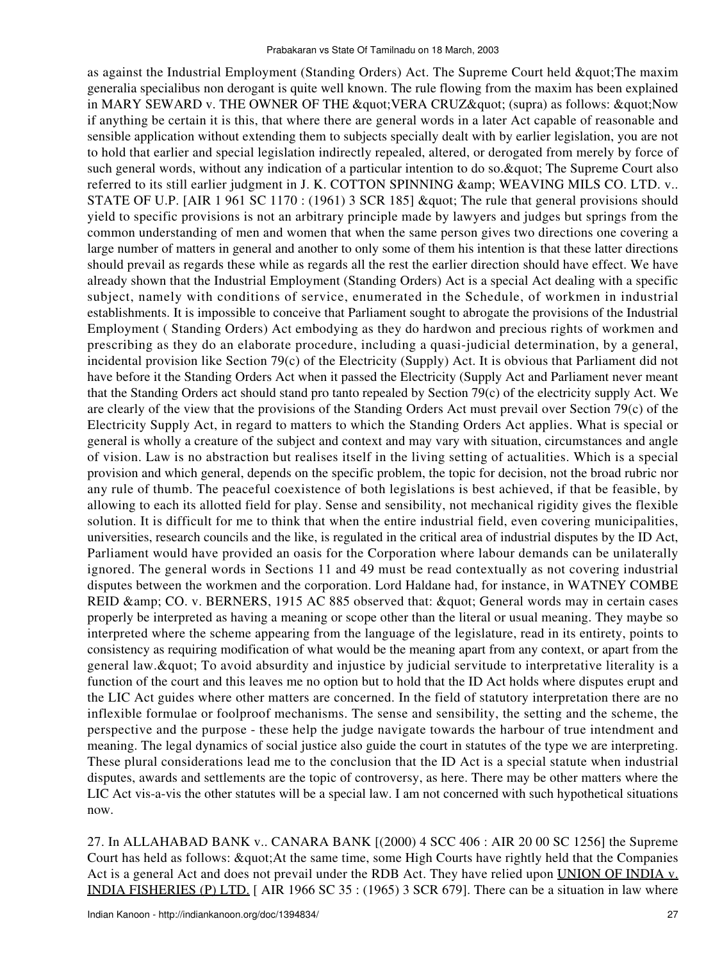as against the Industrial Employment (Standing Orders) Act. The Supreme Court held " The maxim generalia specialibus non derogant is quite well known. The rule flowing from the maxim has been explained in MARY SEWARD v. THE OWNER OF THE " VERA CRUZ " (supra) as follows: " Now if anything be certain it is this, that where there are general words in a later Act capable of reasonable and sensible application without extending them to subjects specially dealt with by earlier legislation, you are not to hold that earlier and special legislation indirectly repealed, altered, or derogated from merely by force of such general words, without any indication of a particular intention to do so. & quot; The Supreme Court also referred to its still earlier judgment in J. K. COTTON SPINNING & amp; WEAVING MILS CO. LTD. v.. STATE OF U.P. [AIR 1 961 SC 1170 : (1961) 3 SCR 185] " The rule that general provisions should yield to specific provisions is not an arbitrary principle made by lawyers and judges but springs from the common understanding of men and women that when the same person gives two directions one covering a large number of matters in general and another to only some of them his intention is that these latter directions should prevail as regards these while as regards all the rest the earlier direction should have effect. We have already shown that the Industrial Employment (Standing Orders) Act is a special Act dealing with a specific subject, namely with conditions of service, enumerated in the Schedule, of workmen in industrial establishments. It is impossible to conceive that Parliament sought to abrogate the provisions of the Industrial Employment ( Standing Orders) Act embodying as they do hardwon and precious rights of workmen and prescribing as they do an elaborate procedure, including a quasi-judicial determination, by a general, incidental provision like Section 79(c) of the Electricity (Supply) Act. It is obvious that Parliament did not have before it the Standing Orders Act when it passed the Electricity (Supply Act and Parliament never meant that the Standing Orders act should stand pro tanto repealed by Section 79(c) of the electricity supply Act. We are clearly of the view that the provisions of the Standing Orders Act must prevail over Section 79(c) of the Electricity Supply Act, in regard to matters to which the Standing Orders Act applies. What is special or general is wholly a creature of the subject and context and may vary with situation, circumstances and angle of vision. Law is no abstraction but realises itself in the living setting of actualities. Which is a special provision and which general, depends on the specific problem, the topic for decision, not the broad rubric nor any rule of thumb. The peaceful coexistence of both legislations is best achieved, if that be feasible, by allowing to each its allotted field for play. Sense and sensibility, not mechanical rigidity gives the flexible solution. It is difficult for me to think that when the entire industrial field, even covering municipalities, universities, research councils and the like, is regulated in the critical area of industrial disputes by the ID Act, Parliament would have provided an oasis for the Corporation where labour demands can be unilaterally ignored. The general words in Sections 11 and 49 must be read contextually as not covering industrial disputes between the workmen and the corporation. Lord Haldane had, for instance, in WATNEY COMBE REID & amp; CO. v. BERNERS, 1915 AC 885 observed that: & quot; General words may in certain cases properly be interpreted as having a meaning or scope other than the literal or usual meaning. They maybe so interpreted where the scheme appearing from the language of the legislature, read in its entirety, points to consistency as requiring modification of what would be the meaning apart from any context, or apart from the general law. & quot; To avoid absurdity and injustice by judicial servitude to interpretative literality is a function of the court and this leaves me no option but to hold that the ID Act holds where disputes erupt and the LIC Act guides where other matters are concerned. In the field of statutory interpretation there are no inflexible formulae or foolproof mechanisms. The sense and sensibility, the setting and the scheme, the perspective and the purpose - these help the judge navigate towards the harbour of true intendment and meaning. The legal dynamics of social justice also guide the court in statutes of the type we are interpreting. These plural considerations lead me to the conclusion that the ID Act is a special statute when industrial disputes, awards and settlements are the topic of controversy, as here. There may be other matters where the LIC Act vis-a-vis the other statutes will be a special law. I am not concerned with such hypothetical situations now.

27. In ALLAHABAD BANK v.. CANARA BANK [(2000) 4 SCC 406 : AIR 20 00 SC 1256] the Supreme Court has held as follows: " At the same time, some High Courts have rightly held that the Companies Act is a general Act and does not prevail under the RDB Act. They have relied upon UNION OF INDIA v. INDIA FISHERIES (P) LTD. [ AIR 1966 SC 35 : (1965) 3 SCR 679]. There can be a situation in law where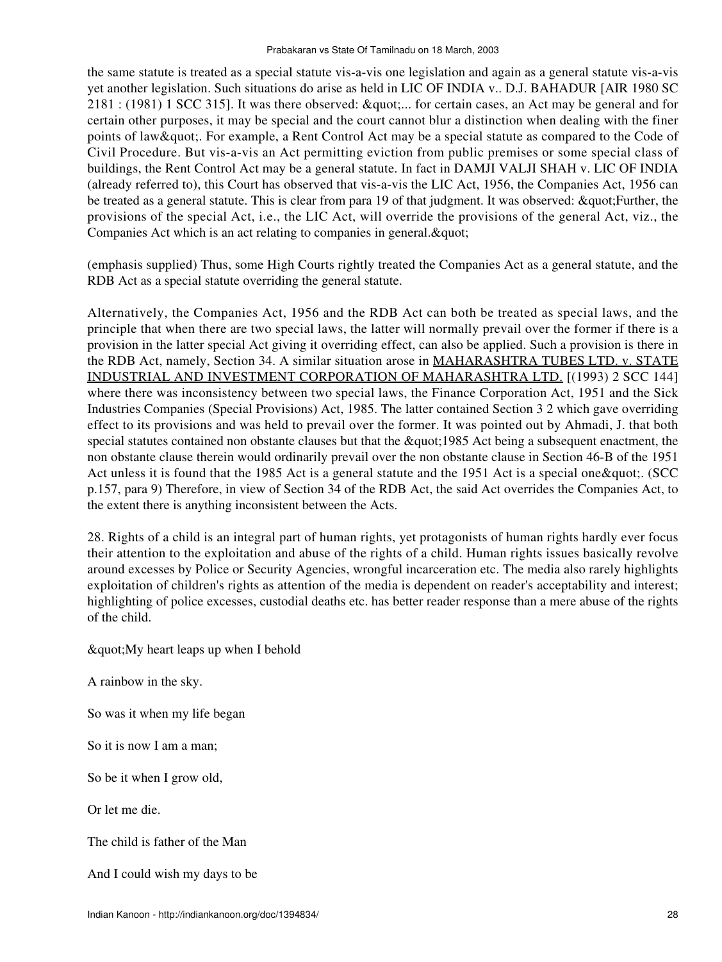the same statute is treated as a special statute vis-a-vis one legislation and again as a general statute vis-a-vis yet another legislation. Such situations do arise as held in LIC OF INDIA v.. D.J. BAHADUR [AIR 1980 SC  $2181$  : (1981) 1 SCC 315]. It was there observed:  $\&$ quot;... for certain cases, an Act may be general and for certain other purposes, it may be special and the court cannot blur a distinction when dealing with the finer points of law & quot;. For example, a Rent Control Act may be a special statute as compared to the Code of Civil Procedure. But vis-a-vis an Act permitting eviction from public premises or some special class of buildings, the Rent Control Act may be a general statute. In fact in DAMJI VALJI SHAH v. LIC OF INDIA (already referred to), this Court has observed that vis-a-vis the LIC Act, 1956, the Companies Act, 1956 can be treated as a general statute. This is clear from para 19 of that judgment. It was observed: "Further, the provisions of the special Act, i.e., the LIC Act, will override the provisions of the general Act, viz., the Companies Act which is an act relating to companies in general. & quot;

(emphasis supplied) Thus, some High Courts rightly treated the Companies Act as a general statute, and the RDB Act as a special statute overriding the general statute.

Alternatively, the Companies Act, 1956 and the RDB Act can both be treated as special laws, and the principle that when there are two special laws, the latter will normally prevail over the former if there is a provision in the latter special Act giving it overriding effect, can also be applied. Such a provision is there in the RDB Act, namely, Section 34. A similar situation arose in MAHARASHTRA TUBES LTD. v. STATE INDUSTRIAL AND INVESTMENT CORPORATION OF MAHARASHTRA LTD. [(1993) 2 SCC 144] where there was inconsistency between two special laws, the Finance Corporation Act, 1951 and the Sick Industries Companies (Special Provisions) Act, 1985. The latter contained Section 3 2 which gave overriding effect to its provisions and was held to prevail over the former. It was pointed out by Ahmadi, J. that both special statutes contained non obstante clauses but that the "1985 Act being a subsequent enactment, the non obstante clause therein would ordinarily prevail over the non obstante clause in Section 46-B of the 1951 Act unless it is found that the 1985 Act is a general statute and the 1951 Act is a special one ". (SCC). p.157, para 9) Therefore, in view of Section 34 of the RDB Act, the said Act overrides the Companies Act, to the extent there is anything inconsistent between the Acts.

28. Rights of a child is an integral part of human rights, yet protagonists of human rights hardly ever focus their attention to the exploitation and abuse of the rights of a child. Human rights issues basically revolve around excesses by Police or Security Agencies, wrongful incarceration etc. The media also rarely highlights exploitation of children's rights as attention of the media is dependent on reader's acceptability and interest; highlighting of police excesses, custodial deaths etc. has better reader response than a mere abuse of the rights of the child.

"My heart leaps up when I behold

A rainbow in the sky.

So was it when my life began

So it is now I am a man;

So be it when I grow old,

Or let me die.

The child is father of the Man

And I could wish my days to be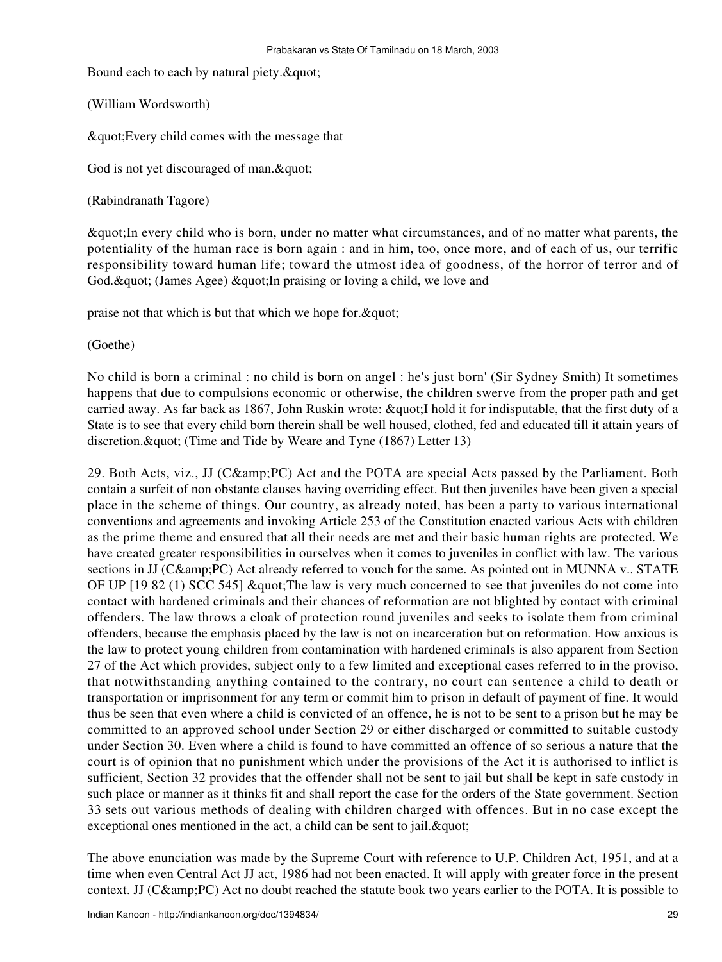Bound each to each by natural piety. & quot;

(William Wordsworth)

"Every child comes with the message that

God is not yet discouraged of man. & quot;

(Rabindranath Tagore)

"In every child who is born, under no matter what circumstances, and of no matter what parents, the potentiality of the human race is born again : and in him, too, once more, and of each of us, our terrific responsibility toward human life; toward the utmost idea of goodness, of the horror of terror and of God. & quot; (James Agee) & quot; In praising or loving a child, we love and

praise not that which is but that which we hope for. & quot;

(Goethe)

No child is born a criminal : no child is born on angel : he's just born' (Sir Sydney Smith) It sometimes happens that due to compulsions economic or otherwise, the children swerve from the proper path and get carried away. As far back as 1867, John Ruskin wrote: "I hold it for indisputable, that the first duty of a State is to see that every child born therein shall be well housed, clothed, fed and educated till it attain years of discretion. & quot; (Time and Tide by Weare and Tyne (1867) Letter 13)

29. Both Acts, viz., JJ ( $C\&P\&C$ ) Act and the POTA are special Acts passed by the Parliament. Both contain a surfeit of non obstante clauses having overriding effect. But then juveniles have been given a special place in the scheme of things. Our country, as already noted, has been a party to various international conventions and agreements and invoking Article 253 of the Constitution enacted various Acts with children as the prime theme and ensured that all their needs are met and their basic human rights are protected. We have created greater responsibilities in ourselves when it comes to juveniles in conflict with law. The various sections in JJ (C& PC) Act already referred to vouch for the same. As pointed out in MUNNA v.. STATE OF UP  $[19 82 (1)$  SCC 545] " The law is very much concerned to see that juveniles do not come into contact with hardened criminals and their chances of reformation are not blighted by contact with criminal offenders. The law throws a cloak of protection round juveniles and seeks to isolate them from criminal offenders, because the emphasis placed by the law is not on incarceration but on reformation. How anxious is the law to protect young children from contamination with hardened criminals is also apparent from Section 27 of the Act which provides, subject only to a few limited and exceptional cases referred to in the proviso, that notwithstanding anything contained to the contrary, no court can sentence a child to death or transportation or imprisonment for any term or commit him to prison in default of payment of fine. It would thus be seen that even where a child is convicted of an offence, he is not to be sent to a prison but he may be committed to an approved school under Section 29 or either discharged or committed to suitable custody under Section 30. Even where a child is found to have committed an offence of so serious a nature that the court is of opinion that no punishment which under the provisions of the Act it is authorised to inflict is sufficient, Section 32 provides that the offender shall not be sent to jail but shall be kept in safe custody in such place or manner as it thinks fit and shall report the case for the orders of the State government. Section 33 sets out various methods of dealing with children charged with offences. But in no case except the exceptional ones mentioned in the act, a child can be sent to jail. $\&$  quot;

The above enunciation was made by the Supreme Court with reference to U.P. Children Act, 1951, and at a time when even Central Act JJ act, 1986 had not been enacted. It will apply with greater force in the present context. JJ (C&PC) Act no doubt reached the statute book two years earlier to the POTA. It is possible to